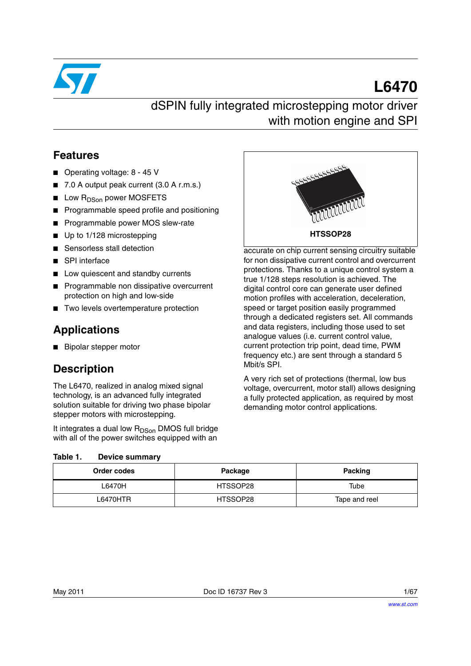

# **L6470**

# dSPIN fully integrated microstepping motor driver with motion engine and SPI

### **Features**

- Operating voltage: 8 45 V
- 7.0 A output peak current (3.0 A r.m.s.)
- Low R<sub>DSon</sub> power MOSFETS
- Programmable speed profile and positioning
- Programmable power MOS slew-rate
- Up to 1/128 microstepping
- Sensorless stall detection
- SPI interface
- Low quiescent and standby currents
- **Programmable non dissipative overcurrent** protection on high and low-side
- Two levels overtemperature protection

## **Applications**

■ Bipolar stepper motor

## **Description**

The L6470, realized in analog mixed signal technology, is an advanced fully integrated solution suitable for driving two phase bipolar stepper motors with microstepping.

It integrates a dual low R<sub>DSon</sub> DMOS full bridge with all of the power switches equipped with an



accurate on chip current sensing circuitry suitable for non dissipative current control and overcurrent protections. Thanks to a unique control system a true 1/128 steps resolution is achieved. The digital control core can generate user defined motion profiles with acceleration, deceleration, speed or target position easily programmed through a dedicated registers set. All commands and data registers, including those used to set analogue values (i.e. current control value, current protection trip point, dead time, PWM frequency etc.) are sent through a standard 5 Mbit/s SPI.

A very rich set of protections (thermal, low bus voltage, overcurrent, motor stall) allows designing a fully protected application, as required by most demanding motor control applications.

#### <span id="page-0-0"></span>Table 1. **Device summary**

| Order codes | Package  | Packing       |
|-------------|----------|---------------|
| L6470H      | HTSSOP28 | Tube          |
| L6470HTR    | HTSSOP28 | Tape and reel |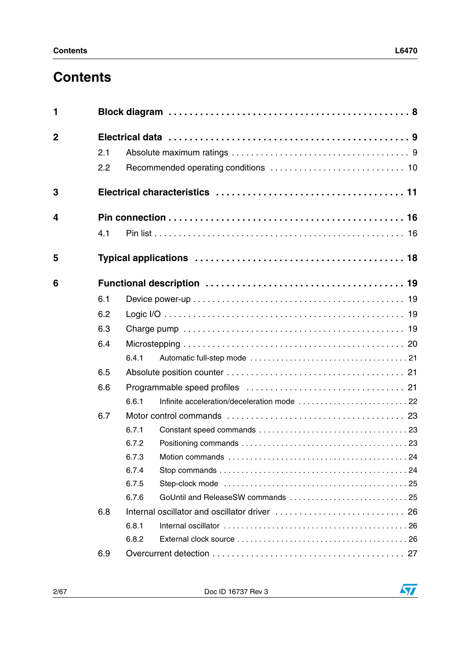# **Contents**

| 1              |     |       |
|----------------|-----|-------|
| $\overline{2}$ |     |       |
|                | 2.1 |       |
|                | 2.2 |       |
| 3              |     |       |
| 4              |     |       |
|                | 4.1 |       |
| 5              |     |       |
| 6              |     |       |
|                | 6.1 |       |
|                | 6.2 |       |
|                | 6.3 |       |
|                | 6.4 |       |
|                |     | 6.4.1 |
|                | 6.5 |       |
|                | 6.6 |       |
|                |     | 6.6.1 |
|                | 6.7 |       |
|                |     | 6.7.1 |
|                |     | 6.7.2 |
|                |     | 6.7.3 |
|                |     | 6.7.4 |
|                |     | 6.7.5 |
|                |     | 6.7.6 |
|                | 6.8 |       |
|                |     | 6.8.1 |
|                |     | 6.8.2 |
|                | 6.9 |       |
|                |     |       |

 $\sqrt{2}$ 

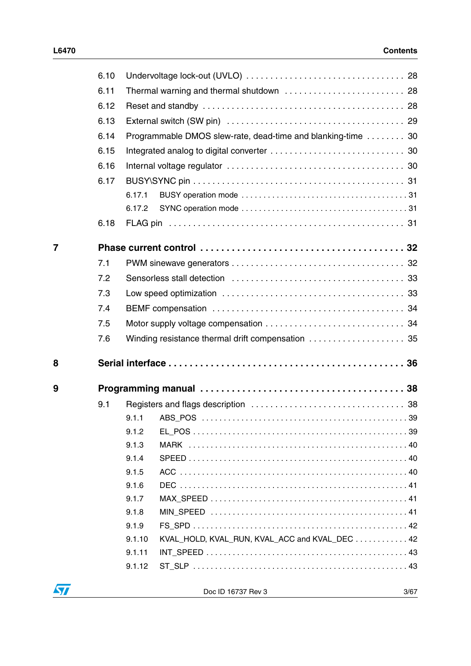|                | 6.10 |                                                              |  |
|----------------|------|--------------------------------------------------------------|--|
|                | 6.11 | Thermal warning and thermal shutdown  28                     |  |
|                | 6.12 |                                                              |  |
|                | 6.13 |                                                              |  |
|                | 6.14 | Programmable DMOS slew-rate, dead-time and blanking-time  30 |  |
|                | 6.15 |                                                              |  |
|                | 6.16 |                                                              |  |
|                | 6.17 |                                                              |  |
|                |      | 6.17.1                                                       |  |
|                |      | 6.17.2                                                       |  |
|                | 6.18 |                                                              |  |
| $\overline{7}$ |      |                                                              |  |
|                | 7.1  |                                                              |  |
|                | 7.2  |                                                              |  |
|                | 7.3  |                                                              |  |
|                | 7.4  |                                                              |  |
|                | 7.5  |                                                              |  |
|                | 7.6  | Winding resistance thermal drift compensation  35            |  |
| 8              |      |                                                              |  |
|                |      |                                                              |  |
| 9              |      |                                                              |  |
|                | 9.1  |                                                              |  |
|                |      | 9.1.1 ABS POS<br>. 39                                        |  |
|                |      | 9.1.2                                                        |  |
|                |      | 9.1.3                                                        |  |
|                |      | 9.1.4                                                        |  |
|                |      | 9.1.5                                                        |  |
|                |      | 9.1.6                                                        |  |
|                |      | 9.1.7                                                        |  |
|                |      | 9.1.8<br>9.1.9                                               |  |
|                |      | KVAL_HOLD, KVAL_RUN, KVAL_ACC and KVAL_DEC 42<br>9.1.10      |  |
|                |      | 9.1.11                                                       |  |
|                |      | 9.1.12                                                       |  |
|                |      |                                                              |  |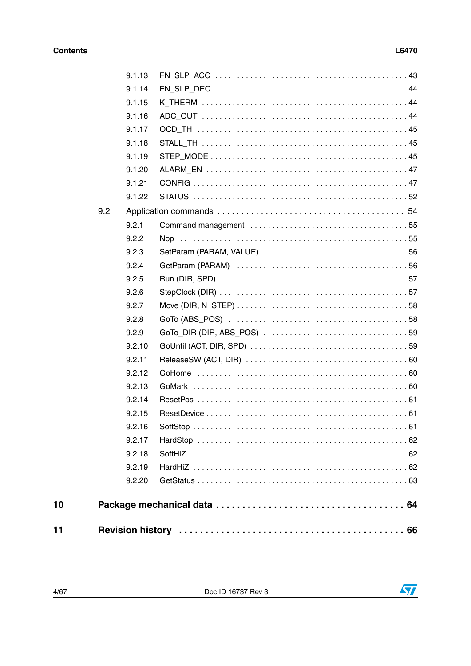$\overline{\mathbf{57}}$ 

|     | 9.1.13 |  |
|-----|--------|--|
|     | 9.1.14 |  |
|     | 9.1.15 |  |
|     | 9.1.16 |  |
|     | 9.1.17 |  |
|     | 9.1.18 |  |
|     | 9.1.19 |  |
|     | 9.1.20 |  |
|     | 9.1.21 |  |
|     | 9.1.22 |  |
| 9.2 |        |  |
|     | 9.2.1  |  |
|     | 9.2.2  |  |
|     | 9.2.3  |  |
|     | 9.2.4  |  |
|     | 9.2.5  |  |
|     | 9.2.6  |  |
|     | 9.2.7  |  |
|     | 9.2.8  |  |
|     | 9.2.9  |  |
|     | 9.2.10 |  |
|     | 9.2.11 |  |
|     | 9.2.12 |  |
|     | 9.2.13 |  |
|     | 9.2.14 |  |
|     | 9.2.15 |  |
|     | 9.2.16 |  |
|     | 9.2.17 |  |
|     | 9.2.18 |  |
|     | 9.2.19 |  |
|     | 9.2.20 |  |
|     |        |  |
|     |        |  |



 $10$ 

 $11$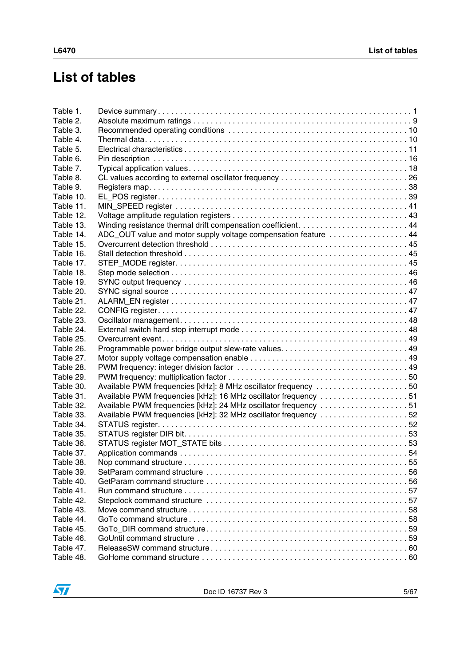# **List of tables**

| Table 1.  |                                                                 |  |
|-----------|-----------------------------------------------------------------|--|
| Table 2.  |                                                                 |  |
| Table 3.  |                                                                 |  |
| Table 4.  |                                                                 |  |
| Table 5.  |                                                                 |  |
| Table 6.  |                                                                 |  |
| Table 7.  |                                                                 |  |
| Table 8.  |                                                                 |  |
| Table 9.  |                                                                 |  |
| Table 10. |                                                                 |  |
| Table 11. |                                                                 |  |
| Table 12. |                                                                 |  |
| Table 13. |                                                                 |  |
| Table 14. | ADC_OUT value and motor supply voltage compensation feature 44  |  |
| Table 15. |                                                                 |  |
| Table 16. |                                                                 |  |
| Table 17. |                                                                 |  |
| Table 18. |                                                                 |  |
| Table 19. |                                                                 |  |
| Table 20. |                                                                 |  |
| Table 21. |                                                                 |  |
| Table 22. |                                                                 |  |
| Table 23. |                                                                 |  |
| Table 24. |                                                                 |  |
| Table 25. |                                                                 |  |
|           |                                                                 |  |
| Table 26. |                                                                 |  |
| Table 27. |                                                                 |  |
| Table 28. |                                                                 |  |
| Table 29. |                                                                 |  |
| Table 30. | Available PWM frequencies [kHz]: 8 MHz oscillator frequency 50  |  |
| Table 31. | Available PWM frequencies [kHz]: 16 MHz oscillator frequency 51 |  |
| Table 32. | Available PWM frequencies [kHz]: 24 MHz oscillator frequency 51 |  |
| Table 33. | Available PWM frequencies [kHz]: 32 MHz oscillator frequency 52 |  |
| Table 34. |                                                                 |  |
| Table 35. |                                                                 |  |
| Table 36. |                                                                 |  |
| Table 37. |                                                                 |  |
| Table 38. |                                                                 |  |
| Table 39. |                                                                 |  |
| Table 40. |                                                                 |  |
| Table 41. |                                                                 |  |
| Table 42. |                                                                 |  |
| Table 43. |                                                                 |  |
| Table 44. |                                                                 |  |
| Table 45. |                                                                 |  |
| Table 46. |                                                                 |  |
| Table 47. |                                                                 |  |
| Table 48. |                                                                 |  |

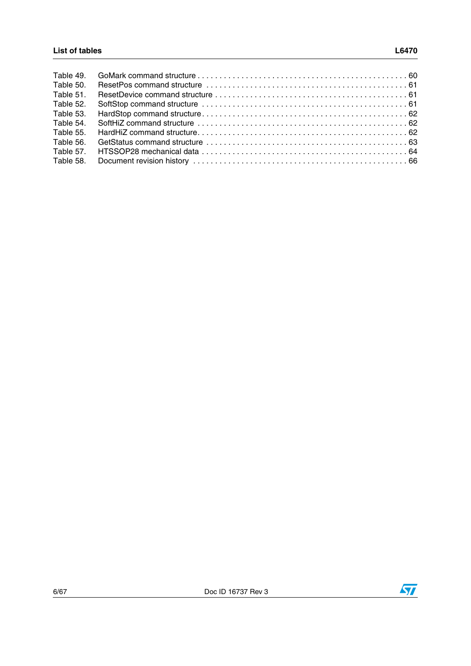| Table 49. |  |
|-----------|--|
| Table 50. |  |
| Table 51. |  |
| Table 52. |  |
| Table 53. |  |
| Table 54. |  |
| Table 55. |  |
| Table 56. |  |
| Table 57. |  |
| Table 58. |  |

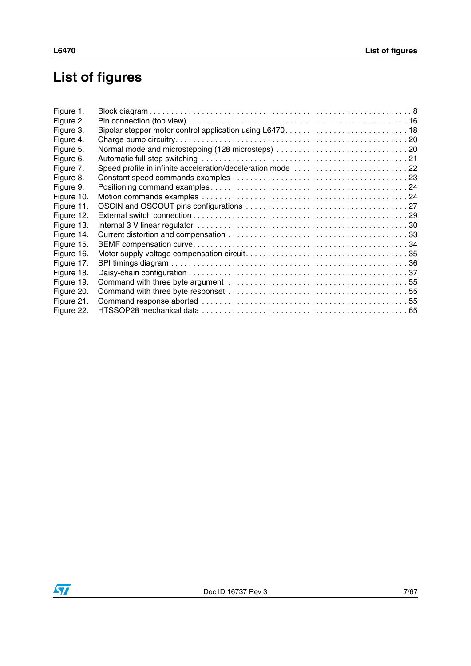# **List of figures**

| Figure 1.  |                                                             |  |
|------------|-------------------------------------------------------------|--|
| Figure 2.  |                                                             |  |
| Figure 3.  |                                                             |  |
| Figure 4.  |                                                             |  |
| Figure 5.  |                                                             |  |
| Figure 6.  |                                                             |  |
| Figure 7.  | Speed profile in infinite acceleration/deceleration mode 22 |  |
| Figure 8.  |                                                             |  |
| Figure 9.  |                                                             |  |
| Figure 10. |                                                             |  |
| Figure 11. |                                                             |  |
| Figure 12. |                                                             |  |
| Figure 13. |                                                             |  |
| Figure 14. |                                                             |  |
| Figure 15. |                                                             |  |
| Figure 16. |                                                             |  |
| Figure 17. |                                                             |  |
| Figure 18. |                                                             |  |
| Figure 19. |                                                             |  |
| Figure 20. |                                                             |  |
| Figure 21. |                                                             |  |
| Figure 22. |                                                             |  |
|            |                                                             |  |

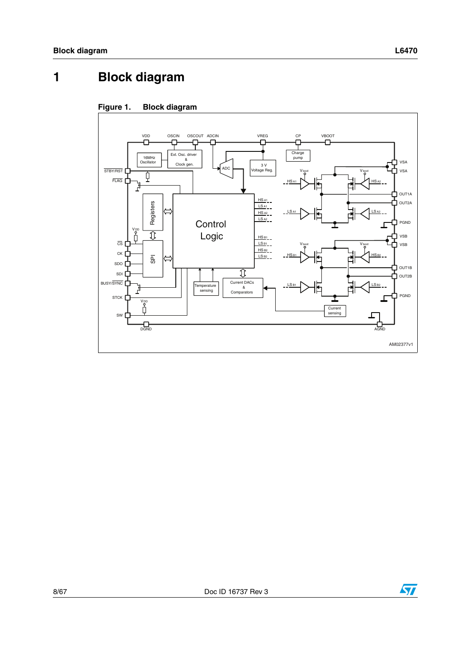# <span id="page-7-0"></span>**1 Block diagram**

<span id="page-7-1"></span>



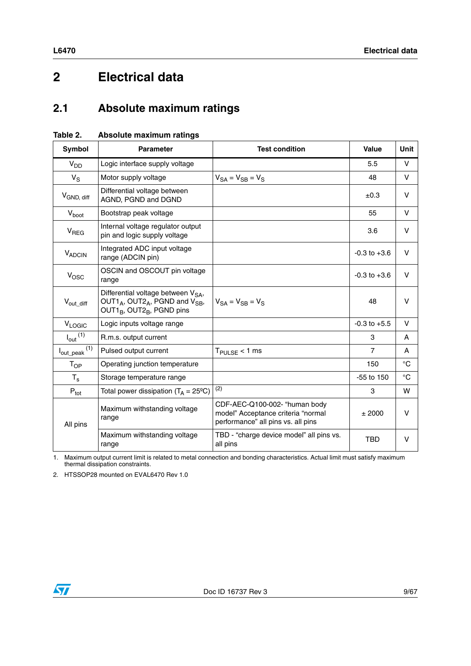# <span id="page-8-0"></span>**2 Electrical data**

# <span id="page-8-1"></span>**2.1 Absolute maximum ratings**

| Symbol                                  | <b>Parameter</b>                                                                                                                                                          | <b>Test condition</b>                                                                                     | Value            | <b>Unit</b>  |
|-----------------------------------------|---------------------------------------------------------------------------------------------------------------------------------------------------------------------------|-----------------------------------------------------------------------------------------------------------|------------------|--------------|
| V <sub>DD</sub>                         | Logic interface supply voltage                                                                                                                                            |                                                                                                           | 5.5              | V            |
| $V_S$                                   | Motor supply voltage                                                                                                                                                      | $V_{SA} = V_{SB} = V_S$                                                                                   | 48               | V            |
| V <sub>GND, diff</sub>                  | Differential voltage between<br>AGND, PGND and DGND                                                                                                                       |                                                                                                           | ±0.3             | V            |
| $V_{boot}$                              | Bootstrap peak voltage                                                                                                                                                    |                                                                                                           | 55               | $\vee$       |
| V <sub>REG</sub>                        | Internal voltage regulator output<br>pin and logic supply voltage                                                                                                         |                                                                                                           | 3.6              | v            |
| VADCIN                                  | Integrated ADC input voltage<br>range (ADCIN pin)                                                                                                                         |                                                                                                           | $-0.3$ to $+3.6$ | V            |
| $V_{\text{OSC}}$                        | OSCIN and OSCOUT pin voltage<br>range                                                                                                                                     |                                                                                                           | $-0.3$ to $+3.6$ | V            |
| $V_{\text{out\_diff}}$                  | Differential voltage between V <sub>SA</sub> ,<br>OUT1 <sub>A</sub> , OUT2 <sub>A</sub> , PGND and V <sub>SB</sub> ,<br>OUT1 <sub>B</sub> , OUT2 <sub>B</sub> , PGND pins | $V_{SA} = V_{SB} = V_S$                                                                                   | 48               | V            |
| <b>VLOGIC</b>                           | Logic inputs voltage range                                                                                                                                                |                                                                                                           | $-0.3$ to $+5.5$ | V            |
| $I_{\text{out}}$ <sup>(1)</sup>         | R.m.s. output current                                                                                                                                                     |                                                                                                           | 3                | A            |
| $I_{\text{out\_peak}}$ $\overline{(1)}$ | Pulsed output current                                                                                                                                                     | $T_{\text{PULSE}}$ < 1 ms                                                                                 | $\overline{7}$   | A            |
| $T_{OP}$                                | Operating junction temperature                                                                                                                                            |                                                                                                           | 150              | $^{\circ}$ C |
| $T_{\rm s}$                             | Storage temperature range                                                                                                                                                 |                                                                                                           | -55 to 150       | °C           |
| $P_{\text{tot}}$                        | Total power dissipation $(T_A = 25^{\circ}C)$                                                                                                                             | (2)                                                                                                       | 3                | W            |
| All pins                                | Maximum withstanding voltage<br>range                                                                                                                                     | CDF-AEC-Q100-002- "human body<br>model" Acceptance criteria "normal<br>performance" all pins vs. all pins | ± 2000           | v            |
|                                         | Maximum withstanding voltage<br>range                                                                                                                                     | TBD - "charge device model" all pins vs.<br>all pins                                                      | <b>TBD</b>       | $\vee$       |

<span id="page-8-2"></span>**Table 2. Absolute maximum ratings**

1. Maximum output current limit is related to metal connection and bonding characteristics. Actual limit must satisfy maximum thermal dissipation constraints.

2. HTSSOP28 mounted on EVAL6470 Rev 1.0

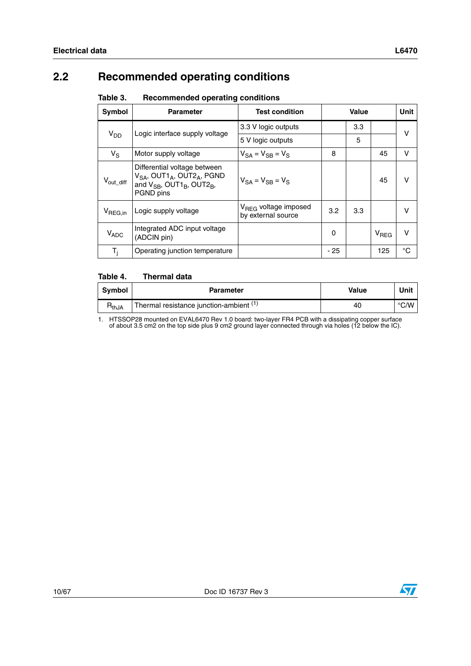## <span id="page-9-0"></span>**2.2 Recommended operating conditions**

<span id="page-9-1"></span>

| Table 3. | <b>Recommended operating conditions</b> |  |  |
|----------|-----------------------------------------|--|--|
|----------|-----------------------------------------|--|--|

| Symbol                   | <b>Parameter</b>                                                                                                                                               | <b>Test condition</b>                                  | Value |     | <b>Unit</b>      |    |
|--------------------------|----------------------------------------------------------------------------------------------------------------------------------------------------------------|--------------------------------------------------------|-------|-----|------------------|----|
|                          | Logic interface supply voltage                                                                                                                                 | 3.3 V logic outputs                                    |       | 3.3 |                  | v  |
| <b>V<sub>DD</sub></b>    |                                                                                                                                                                | 5 V logic outputs                                      |       | 5   |                  |    |
| $V_S$                    | Motor supply voltage                                                                                                                                           | $V_{SA} = V_{SB} = V_S$                                | 8     |     | 45               | v  |
| $V_{\mathsf{out\_diff}}$ | Differential voltage between<br>$V_{SA}$ , OUT1 <sub>A</sub> , OUT2 <sub>A</sub> , PGND<br>and $V_{SB}$ , OUT1 <sub>B</sub> , OUT2 <sub>B</sub> ,<br>PGND pins | $V_{SA} = V_{SR} = V_{S}$                              |       |     | 45               | v  |
| $V_{\text{REG,in}}$      | Logic supply voltage                                                                                                                                           | V <sub>REG</sub> voltage imposed<br>by external source | 3.2   | 3.3 |                  | v  |
| $V_{ADC}$                | Integrated ADC input voltage<br>(ADCIN pin)                                                                                                                    |                                                        | 0     |     | V <sub>REG</sub> | v  |
| $T_i$                    | Operating junction temperature                                                                                                                                 |                                                        | $-25$ |     | 125              | °C |

#### <span id="page-9-2"></span>Table 4. **Thermal data**

| Symbol            | <b>Parameter</b>                                                | Value | Unit |
|-------------------|-----------------------------------------------------------------|-------|------|
| ำ <sub>thJA</sub> | <sup>1</sup> Thermal resistance junction-ambient <sup>(1)</sup> | 40    | °C/W |

1. HTSSOP28 mounted on EVAL6470 Rev 1.0 board: two-layer FR4 PCB with a dissipating copper surface of about 3.5 cm2 on the top side plus 9 cm2 ground layer connected through via holes (12 below the IC).

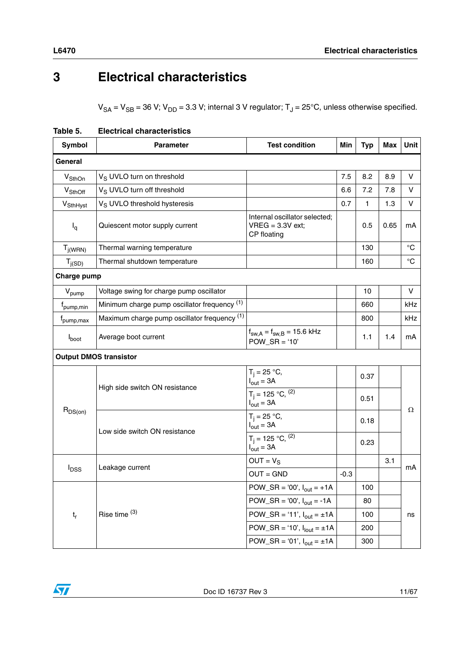# <span id="page-10-0"></span>**3 Electrical characteristics**

 $V_{SA} = V_{SB} = 36$  V;  $V_{DD} = 3.3$  V; internal 3 V regulator;  $T_J = 25^{\circ}$ C, unless otherwise specified.

| <b>Symbol</b>                 | <b>Parameter</b>                             | <b>Test condition</b>                                                      | Min    | <b>Typ</b> | Max  | Unit        |
|-------------------------------|----------------------------------------------|----------------------------------------------------------------------------|--------|------------|------|-------------|
| General                       |                                              |                                                                            |        |            |      |             |
| $V_{\text{SthOn}}$            | V <sub>S</sub> UVLO turn on threshold        |                                                                            | 7.5    | 8.2        | 8.9  | v           |
| V <sub>SthOff</sub>           | V <sub>S</sub> UVLO turn off threshold       |                                                                            | 6.6    | 7.2        | 7.8  | V           |
| V <sub>SthHyst</sub>          | V <sub>S</sub> UVLO threshold hysteresis     |                                                                            | 0.7    | 1.         | 1.3  | V           |
| $I_q$                         | Quiescent motor supply current               | Internal oscillator selected;<br>$VREG = 3.3V ext$<br>CP floating          |        | 0.5        | 0.65 | mA          |
| $T_{j(WRN)}$                  | Thermal warning temperature                  |                                                                            |        | 130        |      | °C          |
| $T_{j(SD)}$                   | Thermal shutdown temperature                 |                                                                            |        | 160        |      | $^{\circ}C$ |
| Charge pump                   |                                              |                                                                            |        |            |      |             |
| $\rm V_{pump}$                | Voltage swing for charge pump oscillator     |                                                                            |        | 10         |      | v           |
| f <sub>pump,min</sub>         | Minimum charge pump oscillator frequency (1) |                                                                            |        | 660        |      | kHz         |
| f <sub>pump, max</sub>        | Maximum charge pump oscillator frequency (1) |                                                                            |        | 800        |      | kHz         |
| $I_{boot}$                    | Average boot current                         | $f_{\text{sw,A}} = f_{\text{sw,B}} = 15.6 \text{ kHz}$<br>$POW\_SR = '10'$ |        | 1.1        | 1.4  | mA          |
| <b>Output DMOS transistor</b> |                                              |                                                                            |        |            |      |             |
|                               | High side switch ON resistance               | $T_i = 25 °C$ ,<br>$I_{\text{out}} = 3A$                                   |        | 0.37       |      | Ω           |
|                               |                                              | $T_i = 125 °C,$ <sup>(2)</sup><br>$I_{\text{out}} = 3A$                    |        | 0.51       |      |             |
| $R_{DS(on)}$                  |                                              | $T_i = 25 °C$ ,<br>$I_{\text{out}} = 3A$                                   |        | 0.18       |      |             |
|                               | Low side switch ON resistance                | $T_j = 125 °C,$ <sup>(2)</sup><br>$I_{\text{out}} = 3A$                    |        | 0.23       |      |             |
|                               |                                              | $OUT = V_S$                                                                |        |            | 3.1  | mA          |
| $I_{DSS}$                     | Leakage current                              | $OUT = GND$                                                                | $-0.3$ |            |      |             |
|                               |                                              | POW_SR = '00', $I_{\text{out}}$ = +1A                                      |        | 100        |      |             |
|                               |                                              | POW_SR = '00', $I_{out}$ = -1A                                             |        | 80         |      |             |
| $t_{r}$                       | Rise time (3)                                | POW_SR = '11', $I_{out} = \pm 1A$                                          |        | 100        |      | ns          |
|                               |                                              | POW_SR = '10', $I_{\text{lout}} = \pm 1$ A                                 |        | 200        |      |             |
|                               |                                              | $POW\_SR = '01', Iout = ±1A$                                               |        | 300        |      |             |

<span id="page-10-1"></span>**Table 5. Electrical characteristics** 

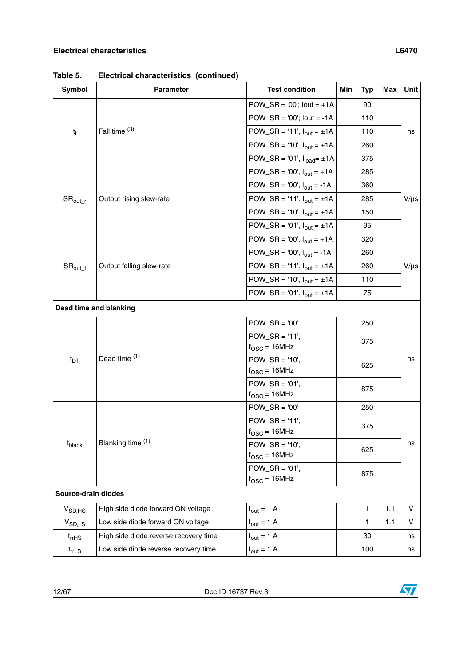|                             | Electrical characteristics (continued) |                                                       |     |            |            |           |
|-----------------------------|----------------------------------------|-------------------------------------------------------|-----|------------|------------|-----------|
| Symbol                      | <b>Parameter</b>                       | <b>Test condition</b>                                 | Min | <b>Typ</b> | <b>Max</b> | Unit      |
|                             |                                        | POW_SR = '00'; lout = $+1A$                           |     | 90         |            |           |
|                             |                                        | POW_SR = '00'; lout = -1A                             |     | 110        |            |           |
| $t_{\rm f}$                 | Fall time (3)                          | POW_SR = '11', $I_{out} = \pm 1A$                     |     | 110        |            | ns        |
|                             |                                        | POW_SR = '10', $I_{out} = \pm 1A$                     |     | 260        |            |           |
|                             |                                        | POW_SR = '01', $I_{load} = \pm 1A$                    |     | 375        |            |           |
|                             |                                        | POW_SR = '00', $I_{out}$ = +1A                        |     | 285        |            |           |
| $\text{SR}_{\text{out\_r}}$ |                                        | POW_SR = '00', $I_{\text{out}}$ = -1A                 |     | 360        |            |           |
|                             | Output rising slew-rate                | POW_SR = '11', $I_{out} = \pm 1A$                     |     | 285        |            | $V/\mu s$ |
|                             |                                        | POW_SR = '10', $I_{out} = \pm 1A$                     |     | 150        |            |           |
|                             |                                        | POW_SR = '01', $I_{out} = \pm 1A$                     |     | 95         |            |           |
| ${\rm SR}_{\rm out\_f}$     |                                        | POW_SR = '00', $I_{out}$ = +1A                        |     | 320        |            |           |
|                             |                                        | POW_SR = '00', $I_{out}$ = -1A                        |     | 260        |            |           |
|                             | Output falling slew-rate               | POW_SR = '11', $I_{out} = \pm 1A$                     |     | 260        |            | $V/\mu s$ |
|                             | Dead time and blanking                 | POW_SR = '10', $I_{out} = \pm 1A$                     |     | 110        |            |           |
|                             |                                        | POW_SR = '01', $I_{out} = \pm 1A$                     |     | 75         |            |           |
|                             |                                        |                                                       |     |            |            |           |
|                             |                                        | $POW\_SR = '00'$                                      |     | 250        |            |           |
|                             |                                        | $POW_SR = '11',$                                      |     | 375        |            |           |
|                             |                                        | $f_{\text{OSC}} = 16$ MHz                             |     |            |            |           |
| $t_{DT}$                    | Dead time (1)                          | $POW_S R = '10',$                                     |     | 625        |            | ns        |
|                             |                                        | $f_{\text{OSC}} = 16$ MHz                             |     |            |            |           |
|                             |                                        | $POW\_SR = '01',$                                     |     | 875        |            |           |
|                             |                                        | $f_{\text{OSC}} = 16$ MHz                             |     |            |            |           |
|                             |                                        | $POW\_SR = '00'$                                      |     | 250        |            |           |
|                             |                                        | $POW\_SR = '11',$                                     | 375 |            |            |           |
|                             | Blanking time (1)                      | $f_{\rm OSC}$ = 16MHz                                 |     |            |            |           |
| t <sub>blank</sub>          |                                        | $POW_S R = '10',$                                     |     | 625        |            | ns        |
|                             |                                        | $f_{\text{OSC}} = 16$ MHz                             |     |            |            |           |
|                             |                                        | $POW\_SR = '01',$<br>875<br>$f_{\text{OSC}} = 16$ MHz |     |            |            |           |
| Source-drain diodes         |                                        |                                                       |     |            |            |           |

**Table 5. Electrical characteristics (continued)**

**Source**  $V_{SD,HS}$  High side diode forward ON voltage  $|I_{out} = 1 \text{ A}$  1 1 1.1 V  $V_{SD,LS}$  Low side diode forward ON voltage  $|I_{out} = 1 \text{ A}$  1 1 1.1 V  $t_{rHSS}$  High side diode reverse recovery time  $\begin{vmatrix} l_{out} = 1 & A \end{vmatrix}$  1 A 30  $\begin{vmatrix} 30 & 30 \end{vmatrix}$  ns  $t_{rrLS}$  Low side diode reverse recovery time  $|I_{out} = 1 \text{ A}$  100 100 ns

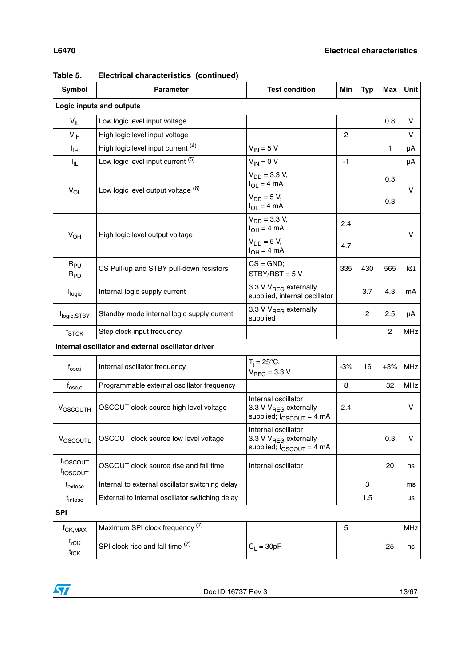| Symbol                           | <b>Test condition</b><br><b>Parameter</b>                                                           |                                                                                           | Min            | <b>Typ</b> | Max            | <b>Unit</b> |  |
|----------------------------------|-----------------------------------------------------------------------------------------------------|-------------------------------------------------------------------------------------------|----------------|------------|----------------|-------------|--|
|                                  | Logic inputs and outputs                                                                            |                                                                                           |                |            |                |             |  |
| $V_{IL}$                         | Low logic level input voltage                                                                       |                                                                                           |                |            | 0.8            | V           |  |
| $V_{\text{IH}}$                  | High logic level input voltage                                                                      |                                                                                           | $\overline{c}$ |            |                | V           |  |
| $I_{\text{IH}}$                  | High logic level input current (4)                                                                  | $V_{IN} = 5 V$                                                                            |                |            | 1              | μA          |  |
| I <sub>IL</sub>                  | Low logic level input current (5)                                                                   | $V_{IN} = 0 V$                                                                            | -1             |            |                | μA          |  |
| $V_{OL}$                         | Low logic level output voltage (6)                                                                  | $V_{DD} = 3.3 V,$<br>$I_{OL} = 4 mA$                                                      |                |            | 0.3            | V           |  |
|                                  |                                                                                                     | $V_{DD} = 5 V,$<br>$I_{OL} = 4 mA$                                                        |                |            | 0.3            |             |  |
|                                  |                                                                                                     | $V_{DD} = 3.3 V,$<br>$I_{OH} = 4 mA$                                                      | 2.4            |            |                | V           |  |
| $V_{OH}$                         | High logic level output voltage                                                                     | $V_{DD} = 5 V$ ,<br>$I_{OH} = 4 mA$                                                       | 4.7            |            |                |             |  |
| $R_{PU}$<br>$R_{PD}$             | CS Pull-up and STBY pull-down resistors                                                             | $\overline{\text{CS}}$ = GND;<br>$\overline{STBY/ RST}$ = 5 V                             | 335            | 430        | 565            | kΩ          |  |
| l <sub>logic</sub>               | 3.3 V V <sub>REG</sub> externally<br>Internal logic supply current<br>supplied, internal oscillator |                                                                                           |                | 3.7        | 4.3            | mA          |  |
| l <sub>logic,STBY</sub>          | 3.3 V V <sub>REG</sub> externally<br>Standby mode internal logic supply current<br>supplied         |                                                                                           |                | 2          | 2.5            | μA          |  |
| $f_{STCK}$                       | Step clock input frequency                                                                          |                                                                                           |                |            | $\overline{2}$ | <b>MHz</b>  |  |
|                                  | Internal oscillator and external oscillator driver                                                  |                                                                                           |                |            |                |             |  |
| $f_{\rm osc,i}$                  | Internal oscillator frequency                                                                       | $T_i = 25^{\circ}C$<br>$V_{\text{RFG}}$ = 3.3 V                                           | $-3%$          | 16         | $+3%$          | <b>MHz</b>  |  |
| $f_{\rm osc,e}$                  | Programmable external oscillator frequency                                                          |                                                                                           | 8              |            | 32             | <b>MHz</b>  |  |
| <b>VOSCOUTH</b>                  | OSCOUT clock source high level voltage                                                              | Internal oscillator<br>3.3 V V <sub>REG</sub> externally<br>supplied; $I_{OSCOUT} = 4 mA$ | 2.4            |            |                | V           |  |
| VOSCOUTL                         | OSCOUT clock source low level voltage                                                               | Internal oscillator<br>3.3 V V <sub>REG</sub> externally<br>supplied; $I_{OSCOUT}$ = 4 mA |                |            | 0.3            | v           |  |
| troscout<br>t <sub>fOSCOUT</sub> | OSCOUT clock source rise and fall time                                                              | Internal oscillator                                                                       |                |            | 20             | ns          |  |
| t <sub>extosc</sub>              | Internal to external oscillator switching delay                                                     |                                                                                           |                | 3          |                | ms          |  |
| t <sub>intosc</sub>              | External to internal oscillator switching delay                                                     |                                                                                           |                | 1.5        |                | μs          |  |
| <b>SPI</b>                       |                                                                                                     |                                                                                           |                |            |                |             |  |
| $f_{CK,MAX}$                     | Maximum SPI clock frequency (7)                                                                     |                                                                                           | 5              |            |                | <b>MHz</b>  |  |
| $t_{\sf rCK}$<br>$t_{fCK}$       | SPI clock rise and fall time (7)                                                                    | $C_L = 30pF$                                                                              |                |            | 25             | ns          |  |

| Table 5. | Electrical characteristics (continued) |  |
|----------|----------------------------------------|--|
|          |                                        |  |

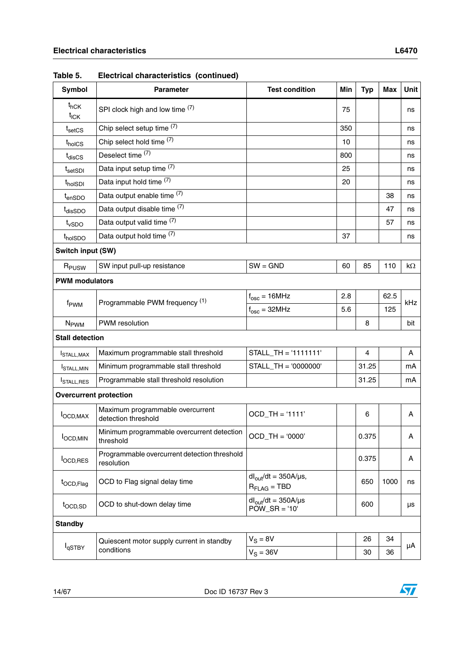| <b>Symbol</b>                          | <b>Parameter</b>                                           | <b>Test condition</b>                                   | Min             | <b>Typ</b> | Max  | <b>Unit</b> |
|----------------------------------------|------------------------------------------------------------|---------------------------------------------------------|-----------------|------------|------|-------------|
| $t$ <sub>hCK</sub><br>$t_{\text{ICK}}$ | SPI clock high and low time $(7)$                          |                                                         | 75              |            |      | ns          |
| $t_{\text{setCS}}$                     | Chip select setup time (7)                                 |                                                         | 350             |            |      | ns          |
| t <sub>holCS</sub>                     | Chip select hold time (7)                                  |                                                         | 10              |            |      | ns          |
| $t_{disCS}$                            | Deselect time (7)                                          |                                                         | 800             |            |      | ns          |
| $t_{\sf setSDI}$                       | Data input setup time (7)                                  |                                                         | 25              |            |      | ns          |
| t <sub>hol</sub> s <sub>DI</sub>       | Data input hold time (7)                                   |                                                         | 20              |            |      | ns          |
| $t_{enSDO}$                            | Data output enable time (7)                                |                                                         |                 |            | 38   | ns          |
| t <sub>dis</sub> s <sub>DO</sub>       | Data output disable time (7)                               |                                                         |                 |            | 47   | ns          |
| $t_{\text{vSDO}}$                      | Data output valid time (7)                                 |                                                         |                 |            | 57   | ns          |
| t <sub>hol</sub> spo                   | Data output hold time (7)                                  |                                                         | 37              |            |      | ns          |
| Switch input (SW)                      |                                                            |                                                         |                 |            |      |             |
| R <sub>PUSW</sub>                      | SW input pull-up resistance                                | $SW = GND$                                              | 60              | 85         | 110  | $k\Omega$   |
| <b>PWM</b> modulators                  |                                                            |                                                         |                 |            |      |             |
|                                        |                                                            | $f_{\text{osc}} = 16$ MHz                               | 2.8             |            | 62.5 |             |
| f <sub>PWM</sub>                       | Programmable PWM frequency (1)                             | $f_{\rm osc} = 32 MHz$                                  | 5.6<br>125<br>8 | kHz        |      |             |
| <b>N<sub>PWM</sub></b>                 | PWM resolution                                             |                                                         |                 |            |      | bit         |
| <b>Stall detection</b>                 |                                                            |                                                         |                 |            |      |             |
| <b>STALL, MAX</b>                      | Maximum programmable stall threshold                       | STALL_TH = '1111111'                                    |                 | 4          |      | A           |
| <sup>I</sup> STALL.MIN                 | Minimum programmable stall threshold                       | STALL_TH = '0000000'                                    |                 | 31.25      |      | mA          |
| <b>STALL, RES</b>                      | Programmable stall threshold resolution                    |                                                         |                 | 31.25      |      | mA          |
| <b>Overcurrent protection</b>          |                                                            |                                                         |                 |            |      |             |
| $I_{\text{OCD,MAX}}$                   | Maximum programmable overcurrent<br>detection threshold    | OCD_TH = '1111'                                         |                 | 6          |      | A           |
| п.<br><b>I</b> OCD, MIN                | Minimum programmable overcurrent detection<br>threshold    | $OCD_TH = '0000'$                                       |                 | 0.375      |      | A           |
| l <sub>OCD,RES</sub>                   | Programmable overcurrent detection threshold<br>resolution |                                                         |                 | 0.375      |      | A           |
| t <sub>OCD,Flag</sub>                  | OCD to Flag signal delay time                              | $dl_{\text{out}}/dt = 350A/\mu s$ ,<br>$R_{FLAG} = TBD$ |                 | 650        | 1000 | ns          |
| t <sub>OCD,SD</sub>                    | OCD to shut-down delay time                                | $dl_{\text{out}}/dt = 350A/\mu s$<br>$POW\_SR = '10'$   |                 | 600        |      | μs          |
| <b>Standby</b>                         |                                                            |                                                         |                 |            |      |             |
|                                        | Quiescent motor supply current in standby                  | $V_S = 8V$                                              |                 | 26         | 34   |             |
| l <sub>qSTBY</sub>                     | conditions                                                 | $V_S = 36V$                                             |                 | 30         | 36   | μA          |
|                                        |                                                            |                                                         |                 |            |      |             |

**Table 5. Electrical characteristics (continued)**

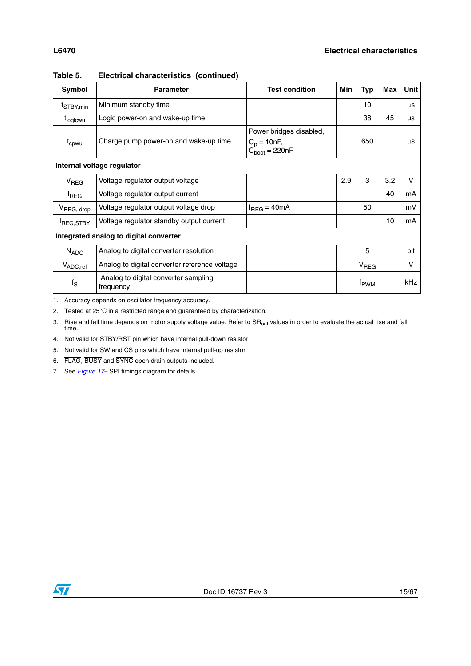| Symbol                                                     | <b>Parameter</b>                                  | <b>Test condition</b>                                           | <b>Min</b> | Typ                         | Max | <b>Unit</b>  |
|------------------------------------------------------------|---------------------------------------------------|-----------------------------------------------------------------|------------|-----------------------------|-----|--------------|
| t <sub>STBY,min</sub>                                      | Minimum standby time                              |                                                                 |            | 10                          |     | μS           |
| t <sub>logicwu</sub>                                       | Logic power-on and wake-up time                   |                                                                 |            | 38                          | 45  | μs           |
| Charge pump power-on and wake-up time<br>t <sub>cpwu</sub> |                                                   | Power bridges disabled,<br>$C_p = 10nF$ ,<br>$C_{boot} = 220nF$ |            | 650                         |     | μS           |
| Internal voltage regulator                                 |                                                   |                                                                 |            |                             |     |              |
| V <sub>REG</sub>                                           | Voltage regulator output voltage                  |                                                                 | 2.9        | 3                           | 3.2 | V            |
| <sup>I</sup> REG                                           | Voltage regulator output current                  |                                                                 |            |                             | 40  | mA           |
| V <sub>REG, drop</sub>                                     | Voltage regulator output voltage drop             | $I_{REG} = 40mA$                                                |            | 50                          |     | mV           |
| <b>REG,STBY</b>                                            | Voltage regulator standby output current          |                                                                 |            |                             | 10  | mA           |
| Integrated analog to digital converter                     |                                                   |                                                                 |            |                             |     |              |
| $N_{ADC}$                                                  | Analog to digital converter resolution            |                                                                 |            | 5                           |     | bit          |
| $V_{ADC,ref}$                                              | Analog to digital converter reference voltage     |                                                                 |            | V <sub>REG</sub>            |     | $\mathsf{V}$ |
| $f_S$                                                      | Analog to digital converter sampling<br>frequency |                                                                 |            | <sup>t</sup> <sub>PWM</sub> |     | <b>kHz</b>   |

**Table 5. Electrical characteristics (continued)**

<span id="page-14-0"></span>1. Accuracy depends on oscillator frequency accuracy.

2. Tested at 25°C in a restricted range and guaranteed by characterization.

3. Rise and fall time depends on motor supply voltage value. Refer to SR<sub>out</sub> values in order to evaluate the actual rise and fall time.

4. Not valid for STBY/RST pin which have internal pull-down resistor.

5. Not valid for SW and CS pins which have internal pull-up resistor

6. FLAG, BUSY and SYNC open drain outputs included.

<span id="page-14-1"></span>7. See *[Figure 17](#page-35-1)*– SPI timings diagram for details.

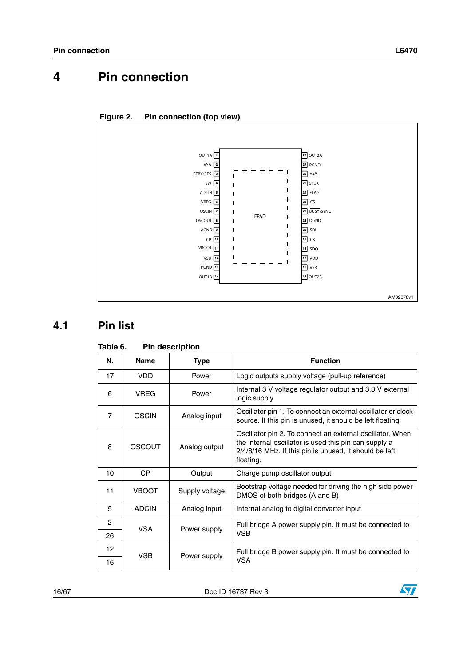

<span id="page-15-3"></span><span id="page-15-0"></span>

### <span id="page-15-1"></span>**4.1 Pin list**

| N.              | <b>Name</b>  | <b>Type</b>    | <b>Function</b>                                                                                                                                                                           |
|-----------------|--------------|----------------|-------------------------------------------------------------------------------------------------------------------------------------------------------------------------------------------|
| 17              | VDD.         | Power          | Logic outputs supply voltage (pull-up reference)                                                                                                                                          |
| 6               | <b>VREG</b>  | Power          | Internal 3 V voltage regulator output and 3.3 V external<br>logic supply                                                                                                                  |
| $\overline{7}$  | <b>OSCIN</b> | Analog input   | Oscillator pin 1. To connect an external oscillator or clock<br>source. If this pin is unused, it should be left floating.                                                                |
| 8               | OSCOUT       | Analog output  | Oscillator pin 2. To connect an external oscillator. When<br>the internal oscillator is used this pin can supply a<br>2/4/8/16 MHz. If this pin is unused, it should be left<br>floating. |
| 10              | <b>CP</b>    | Output         | Charge pump oscillator output                                                                                                                                                             |
| 11              | <b>VBOOT</b> | Supply voltage | Bootstrap voltage needed for driving the high side power<br>DMOS of both bridges (A and B)                                                                                                |
| 5               | <b>ADCIN</b> | Analog input   | Internal analog to digital converter input                                                                                                                                                |
| $\mathcal{P}$   | <b>VSA</b>   | Power supply   | Full bridge A power supply pin. It must be connected to                                                                                                                                   |
| 26              |              |                | VSB                                                                                                                                                                                       |
| 12 <sub>2</sub> | <b>VSB</b>   | Power supply   | Full bridge B power supply pin. It must be connected to                                                                                                                                   |
| 16              |              |                | VSA                                                                                                                                                                                       |

#### <span id="page-15-2"></span>Table 6. **Pin description**

16/67 Doc ID 16737 Rev 3

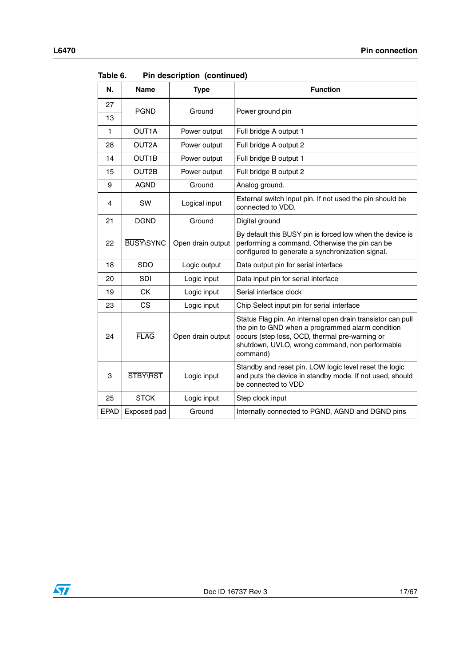| N.          | <b>Name</b>            | <b>Type</b>       | <b>Function</b>                                                                                                                                                                                                                 |
|-------------|------------------------|-------------------|---------------------------------------------------------------------------------------------------------------------------------------------------------------------------------------------------------------------------------|
| 27          | <b>PGND</b>            | Ground            |                                                                                                                                                                                                                                 |
| 13          |                        |                   | Power ground pin                                                                                                                                                                                                                |
| 1           | OUT1A                  | Power output      | Full bridge A output 1                                                                                                                                                                                                          |
| 28          | OUT2A                  | Power output      | Full bridge A output 2                                                                                                                                                                                                          |
| 14          | OUT1B                  | Power output      | Full bridge B output 1                                                                                                                                                                                                          |
| 15          | OUT2B                  | Power output      | Full bridge B output 2                                                                                                                                                                                                          |
| 9           | <b>AGND</b>            | Ground            | Analog ground.                                                                                                                                                                                                                  |
| 4           | SW                     | Logical input     | External switch input pin. If not used the pin should be<br>connected to VDD.                                                                                                                                                   |
| 21          | <b>DGND</b>            | Ground            | Digital ground                                                                                                                                                                                                                  |
| 22          | <b>BUSY\SYNC</b>       | Open drain output | By default this BUSY pin is forced low when the device is<br>performing a command. Otherwise the pin can be<br>configured to generate a synchronization signal.                                                                 |
| 18          | <b>SDO</b>             | Logic output      | Data output pin for serial interface                                                                                                                                                                                            |
| 20          | SDI                    | Logic input       | Data input pin for serial interface                                                                                                                                                                                             |
| 19          | <b>CK</b>              | Logic input       | Serial interface clock                                                                                                                                                                                                          |
| 23          | $\overline{\text{CS}}$ | Logic input       | Chip Select input pin for serial interface                                                                                                                                                                                      |
| 24          | <b>FLAG</b>            | Open drain output | Status Flag pin. An internal open drain transistor can pull<br>the pin to GND when a programmed alarm condition<br>occurs (step loss, OCD, thermal pre-warning or<br>shutdown, UVLO, wrong command, non performable<br>command) |
| 3           | STBY\RST               | Logic input       | Standby and reset pin. LOW logic level reset the logic<br>and puts the device in standby mode. If not used, should<br>be connected to VDD                                                                                       |
| 25          | <b>STCK</b>            | Logic input       | Step clock input                                                                                                                                                                                                                |
| <b>EPAD</b> | Exposed pad            | Ground            | Internally connected to PGND, AGND and DGND pins                                                                                                                                                                                |

**Table 6. Pin description (continued)**

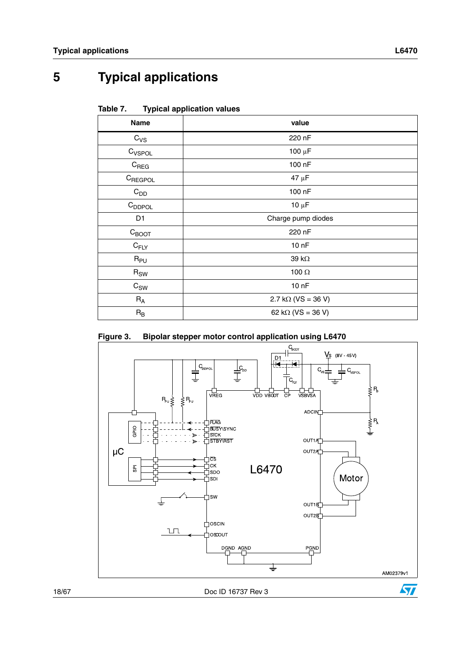<span id="page-17-0"></span>**5 Typical applications**

<span id="page-17-1"></span>

| Table 7. | <b>Typical application values</b> |  |
|----------|-----------------------------------|--|
|          |                                   |  |

| <b>Name</b>        | value                     |
|--------------------|---------------------------|
| $C_{VS}$           | 220 nF                    |
| C <sub>VSPOL</sub> | $100 \mu F$               |
| $C_{\text{REG}}$   | 100 nF                    |
| CREGPOL            | 47 μF                     |
| $C_{DD}$           | 100 nF                    |
| $C_{DDPOL}$        | $10 \mu F$                |
| D1                 | Charge pump diodes        |
| $C_{\text{BOOT}}$  | 220 nF                    |
| $C_{FLY}$          | 10 <sub>nP</sub>          |
| $R_{PU}$           | 39 k $\Omega$             |
| $R_{SW}$           | 100 $\Omega$              |
| $C_{SW}$           | 10 <sub>nP</sub>          |
| $R_A$              | $2.7 k\Omega (VS = 36 V)$ |
| $R_B$              | 62 k $\Omega$ (VS = 36 V) |

<span id="page-17-2"></span>

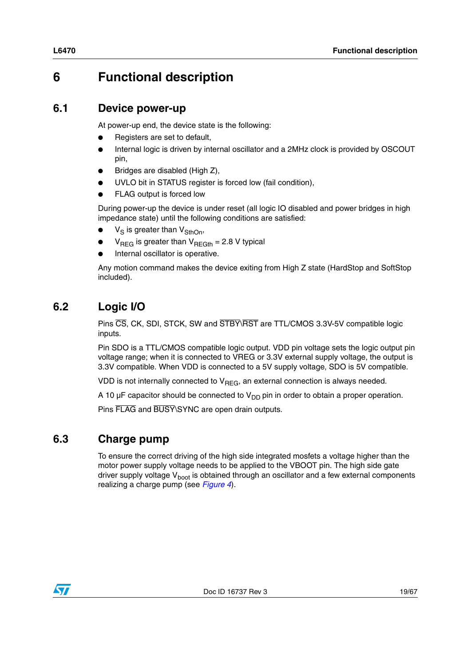# <span id="page-18-0"></span>**6 Functional description**

### <span id="page-18-1"></span>**6.1 Device power-up**

At power-up end, the device state is the following:

- Registers are set to default,
- Internal logic is driven by internal oscillator and a 2MHz clock is provided by OSCOUT pin,
- Bridges are disabled (High Z),
- UVLO bit in STATUS register is forced low (fail condition),
- FLAG output is forced low

During power-up the device is under reset (all logic IO disabled and power bridges in high impedance state) until the following conditions are satisfied:

- $V_S$  is greater than  $V_{SthOn}$ ,
- $V_{\text{REG}}$  is greater than  $V_{\text{REGth}} = 2.8$  V typical
- Internal oscillator is operative.

Any motion command makes the device exiting from High Z state (HardStop and SoftStop included).

## <span id="page-18-2"></span>**6.2 Logic I/O**

Pins CS, CK, SDI, STCK, SW and STBY\RST are TTL/CMOS 3.3V-5V compatible logic inputs.

Pin SDO is a TTL/CMOS compatible logic output. VDD pin voltage sets the logic output pin voltage range; when it is connected to VREG or 3.3V external supply voltage, the output is 3.3V compatible. When VDD is connected to a 5V supply voltage, SDO is 5V compatible.

VDD is not internally connected to  $V_{\text{REG}}$ , an external connection is always needed.

A 10  $\mu$ F capacitor should be connected to  $V_{DD}$  pin in order to obtain a proper operation.

Pins FLAG and BUSY\SYNC are open drain outputs.

### <span id="page-18-3"></span>**6.3 Charge pump**

To ensure the correct driving of the high side integrated mosfets a voltage higher than the motor power supply voltage needs to be applied to the VBOOT pin. The high side gate driver supply voltage  $V_{boot}$  is obtained through an oscillator and a few external components realizing a charge pump (see *[Figure 4](#page-19-1)*).

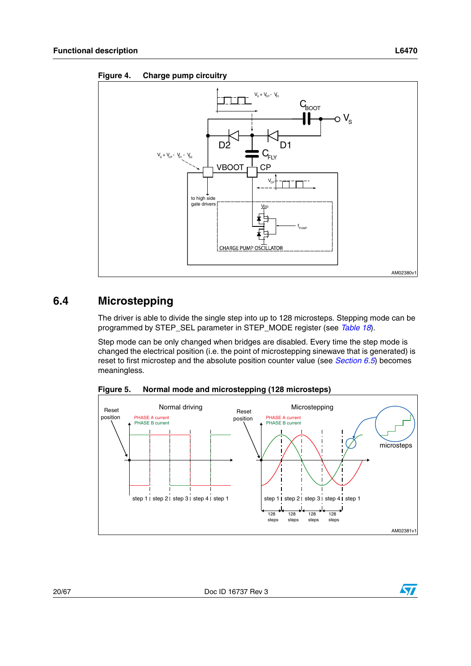

<span id="page-19-1"></span>

### <span id="page-19-0"></span>**6.4 Microstepping**

The driver is able to divide the single step into up to 128 microsteps. Stepping mode can be programmed by STEP\_SEL parameter in STEP\_MODE register (see *[Table 18](#page-45-0)*).

Step mode can be only changed when bridges are disabled. Every time the step mode is changed the electrical position (i.e. the point of microstepping sinewave that is generated) is reset to first microstep and the absolute position counter value (see *[Section 6.5](#page-20-1)*) becomes meaningless.



<span id="page-19-2"></span>**Figure 5. Normal mode and microstepping (128 microsteps)**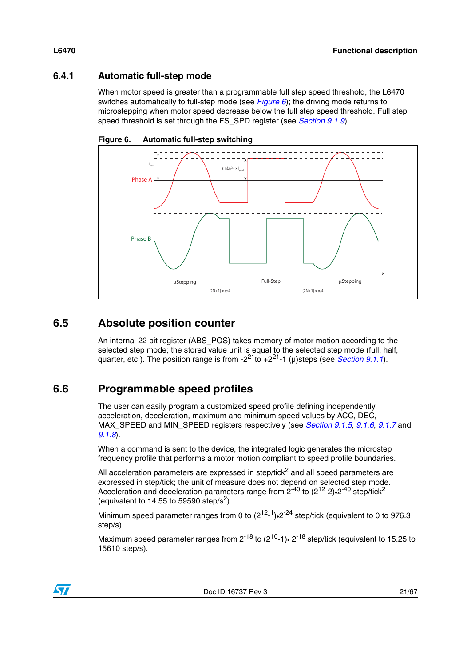### <span id="page-20-0"></span>**6.4.1 Automatic full-step mode**

When motor speed is greater than a programmable full step speed threshold, the L6470 switches automatically to full-step mode (see *[Figure 6](#page-20-3)*); the driving mode returns to microstepping when motor speed decrease below the full step speed threshold. Full step speed threshold is set through the FS\_SPD register (see *[Section 9.1.9](#page-41-0)*).

<span id="page-20-3"></span>



### <span id="page-20-1"></span>**6.5 Absolute position counter**

An internal 22 bit register (ABS\_POS) takes memory of motor motion according to the selected step mode; the stored value unit is equal to the selected step mode (full, half, quarter, etc.). The position range is from  $-2^{21}$ to  $+2^{21}$ -1 (µ)steps (see *[Section 9.1.1](#page-38-0)*).

## <span id="page-20-2"></span>**6.6 Programmable speed profiles**

The user can easily program a customized speed profile defining independently acceleration, deceleration, maximum and minimum speed values by ACC, DEC, MAX\_SPEED and MIN\_SPEED registers respectively (see *[Section 9.1.5](#page-39-2)*, *[9.1.6](#page-40-0)*, *[9.1.7](#page-40-1)* and *[9.1.8](#page-40-2)*).

When a command is sent to the device, the integrated logic generates the microstep frequency profile that performs a motor motion compliant to speed profile boundaries.

All acceleration parameters are expressed in step/tick $<sup>2</sup>$  and all speed parameters are</sup> expressed in step/tick; the unit of measure does not depend on selected step mode. Acceleration and deceleration parameters range from  $2^{-40}$  to ( $2^{12}$ -2)•2<sup>-40</sup> step/tick<sup>2</sup> (equivalent to 14.55 to 59590 step/s<sup>2</sup>).

Minimum speed parameter ranges from 0 to  $(2^{12} - 1)$ .  $2^{-24}$  step/tick (equivalent to 0 to 976.3 step/s).

Maximum speed parameter ranges from  $2^{-18}$  to  $(2^{10}-1)$   $2^{-18}$  step/tick (equivalent to 15.25 to 15610 step/s).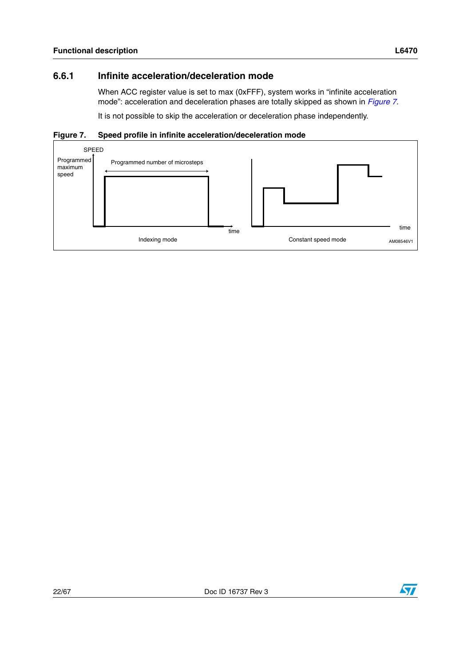### <span id="page-21-0"></span>**6.6.1 Infinite acceleration/deceleration mode**

When ACC register value is set to max (0xFFF), system works in "infinite acceleration mode": acceleration and deceleration phases are totally skipped as shown in *[Figure 7](#page-21-1)*.

It is not possible to skip the acceleration or deceleration phase independently.

#### <span id="page-21-1"></span>**Figure 7. Speed profile in infinite acceleration/deceleration mode**



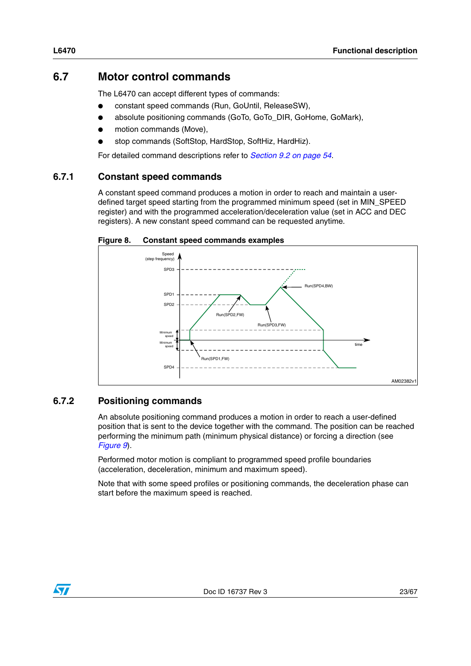### <span id="page-22-0"></span>**6.7 Motor control commands**

The L6470 can accept different types of commands:

- constant speed commands (Run, GoUntil, ReleaseSW),
- absolute positioning commands (GoTo, GoTo\_DIR, GoHome, GoMark),
- motion commands (Move),
- stop commands (SoftStop, HardStop, SoftHiz, HardHiz).

For detailed command descriptions refer to *[Section 9.2 on page 54](#page-53-0)*.

#### <span id="page-22-1"></span>**6.7.1 Constant speed commands**

A constant speed command produces a motion in order to reach and maintain a userdefined target speed starting from the programmed minimum speed (set in MIN\_SPEED register) and with the programmed acceleration/deceleration value (set in ACC and DEC registers). A new constant speed command can be requested anytime.

<span id="page-22-3"></span>



#### <span id="page-22-2"></span>**6.7.2 Positioning commands**

An absolute positioning command produces a motion in order to reach a user-defined position that is sent to the device together with the command. The position can be reached performing the minimum path (minimum physical distance) or forcing a direction (see *[Figure 9](#page-23-2)*).

Performed motor motion is compliant to programmed speed profile boundaries (acceleration, deceleration, minimum and maximum speed).

Note that with some speed profiles or positioning commands, the deceleration phase can start before the maximum speed is reached.

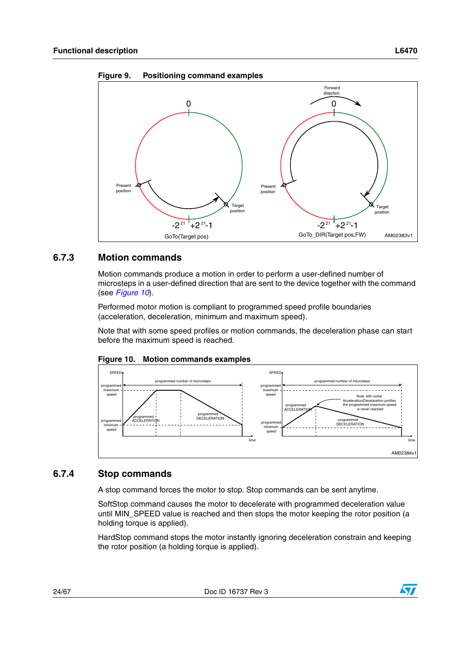<span id="page-23-2"></span>



#### <span id="page-23-0"></span>**6.7.3 Motion commands**

Motion commands produce a motion in order to perform a user-defined number of microsteps in a user-defined direction that are sent to the device together with the command (see *[Figure 10](#page-23-3)*).

Performed motor motion is compliant to programmed speed profile boundaries (acceleration, deceleration, minimum and maximum speed).

Note that with some speed profiles or motion commands, the deceleration phase can start before the maximum speed is reached.



<span id="page-23-3"></span>

#### <span id="page-23-1"></span>**6.7.4 Stop commands**

A stop command forces the motor to stop. Stop commands can be sent anytime.

SoftStop command causes the motor to decelerate with programmed deceleration value until MIN\_SPEED value is reached and then stops the motor keeping the rotor position (a holding torque is applied).

HardStop command stops the motor instantly ignoring deceleration constrain and keeping the rotor position (a holding torque is applied).

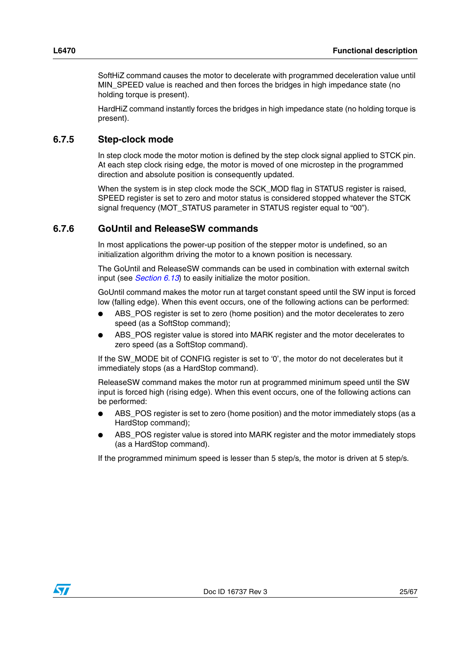SoftHiZ command causes the motor to decelerate with programmed deceleration value until MIN\_SPEED value is reached and then forces the bridges in high impedance state (no holding torque is present).

HardHiZ command instantly forces the bridges in high impedance state (no holding torque is present).

#### <span id="page-24-0"></span>**6.7.5 Step-clock mode**

In step clock mode the motor motion is defined by the step clock signal applied to STCK pin. At each step clock rising edge, the motor is moved of one microstep in the programmed direction and absolute position is consequently updated.

When the system is in step clock mode the SCK MOD flag in STATUS register is raised, SPEED register is set to zero and motor status is considered stopped whatever the STCK signal frequency (MOT\_STATUS parameter in STATUS register equal to "00").

#### <span id="page-24-1"></span>**6.7.6 GoUntil and ReleaseSW commands**

In most applications the power-up position of the stepper motor is undefined, so an initialization algorithm driving the motor to a known position is necessary.

The GoUntil and ReleaseSW commands can be used in combination with external switch input (see *[Section 6.13](#page-28-0)*) to easily initialize the motor position.

GoUntil command makes the motor run at target constant speed until the SW input is forced low (falling edge). When this event occurs, one of the following actions can be performed:

- ABS\_POS register is set to zero (home position) and the motor decelerates to zero speed (as a SoftStop command);
- ABS POS register value is stored into MARK register and the motor decelerates to zero speed (as a SoftStop command).

If the SW\_MODE bit of CONFIG register is set to '0', the motor do not decelerates but it immediately stops (as a HardStop command).

ReleaseSW command makes the motor run at programmed minimum speed until the SW input is forced high (rising edge). When this event occurs, one of the following actions can be performed:

- ABS POS register is set to zero (home position) and the motor immediately stops (as a HardStop command);
- ABS POS register value is stored into MARK register and the motor immediately stops (as a HardStop command).

If the programmed minimum speed is lesser than 5 step/s, the motor is driven at 5 step/s.

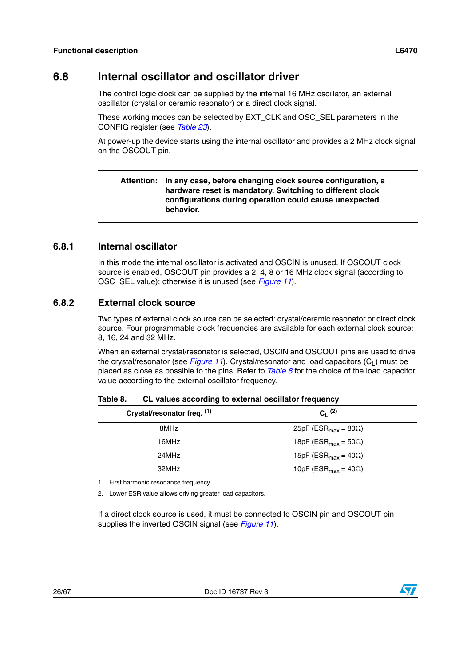<span id="page-25-0"></span>The control logic clock can be supplied by the internal 16 MHz oscillator, an external oscillator (crystal or ceramic resonator) or a direct clock signal.

These working modes can be selected by EXT\_CLK and OSC\_SEL parameters in the CONFIG register (see *[Table 23](#page-47-0)*).

At power-up the device starts using the internal oscillator and provides a 2 MHz clock signal on the OSCOUT pin.

#### **Attention: In any case, before changing clock source configuration, a hardware reset is mandatory. Switching to different clock configurations during operation could cause unexpected behavior.**

### <span id="page-25-1"></span>**6.8.1 Internal oscillator**

In this mode the internal oscillator is activated and OSCIN is unused. If OSCOUT clock source is enabled, OSCOUT pin provides a 2, 4, 8 or 16 MHz clock signal (according to OSC\_SEL value); otherwise it is unused (see *[Figure 11](#page-26-1)*).

#### <span id="page-25-2"></span>**6.8.2 External clock source**

Two types of external clock source can be selected: crystal/ceramic resonator or direct clock source. Four programmable clock frequencies are available for each external clock source: 8, 16, 24 and 32 MHz.

When an external crystal/resonator is selected, OSCIN and OSCOUT pins are used to drive the crystal/resonator (see *[Figure 11](#page-26-1)*). Crystal/resonator and load capacitors  $(C_1)$  must be placed as close as possible to the pins. Refer to *[Table 8](#page-25-3)* for the choice of the load capacitor value according to the external oscillator frequency.

| Crystal/resonator freq. (1) | $C_1^{(2)}$                              |
|-----------------------------|------------------------------------------|
| 8MHz                        | 25pF (ESR <sub>max</sub> = 80 $\Omega$ ) |
| 16MHz                       | 18pF (ESR <sub>max</sub> = 50 $\Omega$ ) |
| 24MHz                       | 15pF (ESR <sub>max</sub> = 40 $\Omega$ ) |
| 32MHz                       | 10pF (ESR <sub>max</sub> = 40 $\Omega$ ) |

<span id="page-25-3"></span>Table 8. **CL values according to external oscillator frequency** 

1. First harmonic resonance frequency.

2. Lower ESR value allows driving greater load capacitors.

If a direct clock source is used, it must be connected to OSCIN pin and OSCOUT pin supplies the inverted OSCIN signal (see *[Figure 11](#page-26-1)*).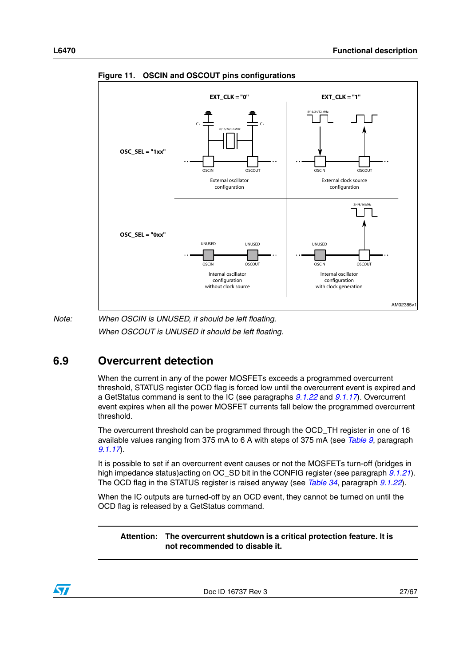

<span id="page-26-1"></span>**Figure 11. OSCIN and OSCOUT pins configurations**

*Note: When OSCIN is UNUSED, it should be left floating. When OSCOUT is UNUSED it should be left floating.*

## <span id="page-26-0"></span>**6.9 Overcurrent detection**

When the current in any of the power MOSFETs exceeds a programmed overcurrent threshold, STATUS register OCD flag is forced low until the overcurrent event is expired and a GetStatus command is sent to the IC (see paragraphs *[9.1.22](#page-51-0)* and *[9.1.17](#page-44-0)*). Overcurrent event expires when all the power MOSFET currents fall below the programmed overcurrent threshold.

The overcurrent threshold can be programmed through the OCD\_TH register in one of 16 available values ranging from 375 mA to 6 A with steps of 375 mA (see *[Table 9](#page-37-2)*, paragraph *[9.1.17](#page-44-0)*).

It is possible to set if an overcurrent event causes or not the MOSFETs turn-off (bridges in high impedance status)acting on OC\_SD bit in the CONFIG register (see paragraph *[9.1.21](#page-46-1)*). The OCD flag in the STATUS register is raised anyway (see *[Table 34](#page-51-2)*, paragraph *[9.1.22](#page-51-0)*).

When the IC outputs are turned-off by an OCD event, they cannot be turned on until the OCD flag is released by a GetStatus command.

**Attention: The overcurrent shutdown is a critical protection feature. It is not recommended to disable it.**

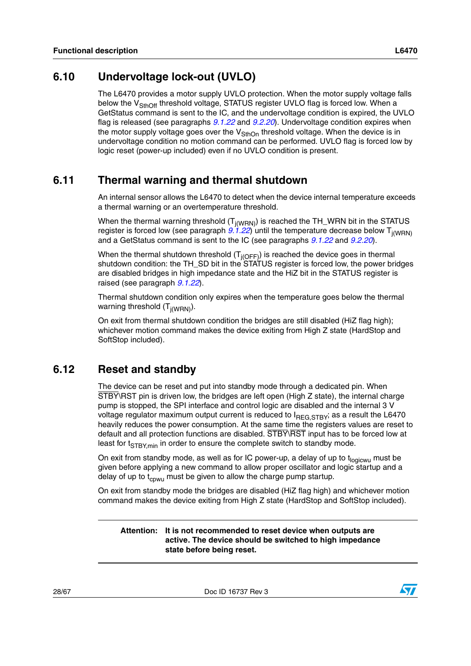<span id="page-27-0"></span>The L6470 provides a motor supply UVLO protection. When the motor supply voltage falls below the  $V_{\text{SthOff}}$  threshold voltage, STATUS register UVLO flag is forced low. When a GetStatus command is sent to the IC, and the undervoltage condition is expired, the UVLO flag is released (see paragraphs *[9.1.22](#page-51-0)* and *[9.2.20](#page-62-0)*). Undervoltage condition expires when the motor supply voltage goes over the  $V_{\text{SthOn}}$  threshold voltage. When the device is in undervoltage condition no motion command can be performed. UVLO flag is forced low by logic reset (power-up included) even if no UVLO condition is present.

### <span id="page-27-1"></span>**6.11 Thermal warning and thermal shutdown**

An internal sensor allows the L6470 to detect when the device internal temperature exceeds a thermal warning or an overtemperature threshold.

When the thermal warning threshold  $(T_{i(WRN)})$  is reached the TH\_WRN bit in the STATUS register is forced low (see paragraph  $9.1.22$ ) until the temperature decrease below  $T_{i(WRN)}$ and a GetStatus command is sent to the IC (see paragraphs *[9.1.22](#page-51-0)* and *[9.2.20](#page-62-0)*).

When the thermal shutdown threshold  $(T_{j(OFF)})$  is reached the device goes in thermal shutdown condition: the TH\_SD bit in the STATUS register is forced low, the power bridges are disabled bridges in high impedance state and the HiZ bit in the STATUS register is raised (see paragraph *[9.1.22](#page-51-0)*).

Thermal shutdown condition only expires when the temperature goes below the thermal warning threshold  $(T_{j(WRN)})$ .

On exit from thermal shutdown condition the bridges are still disabled (HiZ flag high); whichever motion command makes the device exiting from High Z state (HardStop and SoftStop included).

### <span id="page-27-2"></span>**6.12 Reset and standby**

The device can be reset and put into standby mode through a dedicated pin. When STBY\RST pin is driven low, the bridges are left open (High Z state), the internal charge pump is stopped, the SPI interface and control logic are disabled and the internal 3 V voltage regulator maximum output current is reduced to  $I_{REG.STBY}$ ; as a result the L6470 heavily reduces the power consumption. At the same time the registers values are reset to default and all protection functions are disabled. STBY\RST input has to be forced low at least for  $t_{STBY,min}$  in order to ensure the complete switch to standby mode.

On exit from standby mode, as well as for IC power-up, a delay of up to  $t_{\text{loqicwu}}$  must be given before applying a new command to allow proper oscillator and logic startup and a delay of up to  $t_{\text{cyl}}$  must be given to allow the charge pump startup.

On exit from standby mode the bridges are disabled (HiZ flag high) and whichever motion command makes the device exiting from High Z state (HardStop and SoftStop included).

**Attention: It is not recommended to reset device when outputs are active. The device should be switched to high impedance state before being reset.**

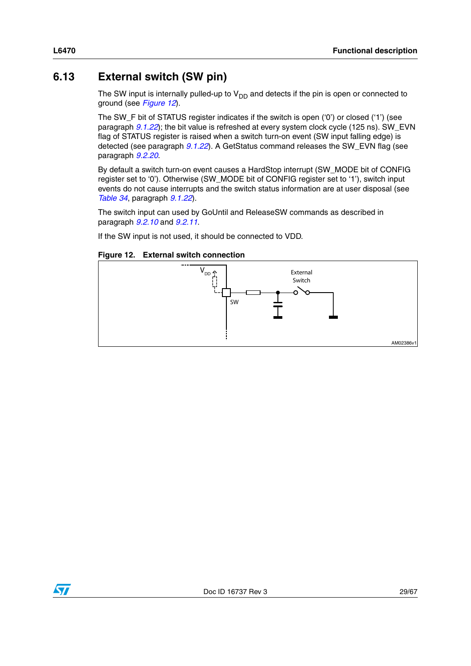## <span id="page-28-0"></span>**6.13 External switch (SW pin)**

The SW input is internally pulled-up to  $V_{DD}$  and detects if the pin is open or connected to ground (see *[Figure 12](#page-28-1)*).

The SW  $F$  bit of STATUS register indicates if the switch is open ('0') or closed ('1') (see paragraph *[9.1.22](#page-51-0)*); the bit value is refreshed at every system clock cycle (125 ns). SW\_EVN flag of STATUS register is raised when a switch turn-on event (SW input falling edge) is detected (see paragraph *[9.1.22](#page-51-0)*). A GetStatus command releases the SW\_EVN flag (see paragraph *[9.2.20](#page-62-0)*.

By default a switch turn-on event causes a HardStop interrupt (SW\_MODE bit of CONFIG register set to '0'). Otherwise (SW\_MODE bit of CONFIG register set to '1'), switch input events do not cause interrupts and the switch status information are at user disposal (see *[Table 34](#page-51-2)*, paragraph *[9.1.22](#page-51-0)*).

The switch input can used by GoUntil and ReleaseSW commands as described in paragraph *[9.2.10](#page-58-1)* and *[9.2.11](#page-59-0)*.

If the SW input is not used, it should be connected to VDD.

#### <span id="page-28-1"></span>**Figure 12. External switch connection**



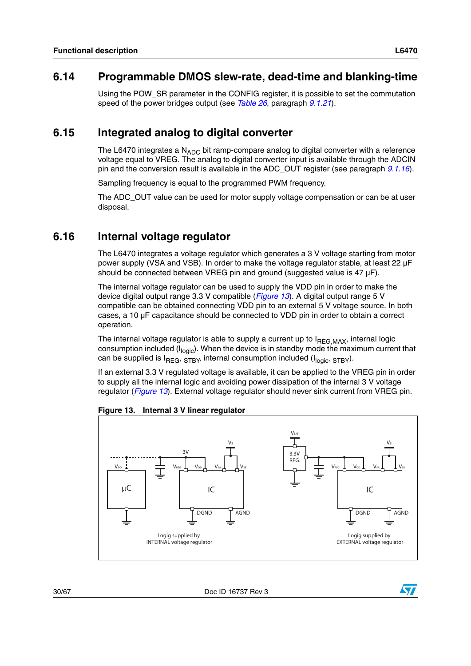### <span id="page-29-0"></span>**6.14 Programmable DMOS slew-rate, dead-time and blanking-time**

Using the POW SR parameter in the CONFIG register, it is possible to set the commutation speed of the power bridges output (see *[Table 26](#page-48-1)*, paragraph *[9.1.21](#page-46-1)*).

### <span id="page-29-1"></span>**6.15 Integrated analog to digital converter**

The L6470 integrates a  $N_{ADC}$  bit ramp-compare analog to digital converter with a reference voltage equal to VREG. The analog to digital converter input is available through the ADCIN pin and the conversion result is available in the ADC\_OUT register (see paragraph *[9.1.16](#page-43-2)*).

Sampling frequency is equal to the programmed PWM frequency.

The ADC OUT value can be used for motor supply voltage compensation or can be at user disposal.

### <span id="page-29-2"></span>**6.16 Internal voltage regulator**

The L6470 integrates a voltage regulator which generates a 3 V voltage starting from motor power supply (VSA and VSB). In order to make the voltage regulator stable, at least 22 µF should be connected between VREG pin and ground (suggested value is 47  $\mu$ F).

The internal voltage regulator can be used to supply the VDD pin in order to make the device digital output range 3.3 V compatible (*[Figure 13](#page-29-3)*). A digital output range 5 V compatible can be obtained connecting VDD pin to an external 5 V voltage source. In both cases, a 10 µF capacitance should be connected to VDD pin in order to obtain a correct operation.

The internal voltage regulator is able to supply a current up to  $I_{REG,MAX}$ , internal logic consumption included ( $I<sub>logic</sub>$ ). When the device is in standby mode the maximum current that can be supplied is  $I_{REG}$ ,  $STBY$ , internal consumption included ( $I_{logic}$ ,  $STBY$ ).

If an external 3.3 V regulated voltage is available, it can be applied to the VREG pin in order to supply all the internal logic and avoiding power dissipation of the internal 3 V voltage regulator (*[Figure 13](#page-29-3)*). External voltage regulator should never sink current from VREG pin.



<span id="page-29-3"></span>**Figure 13. Internal 3 V linear regulator** 

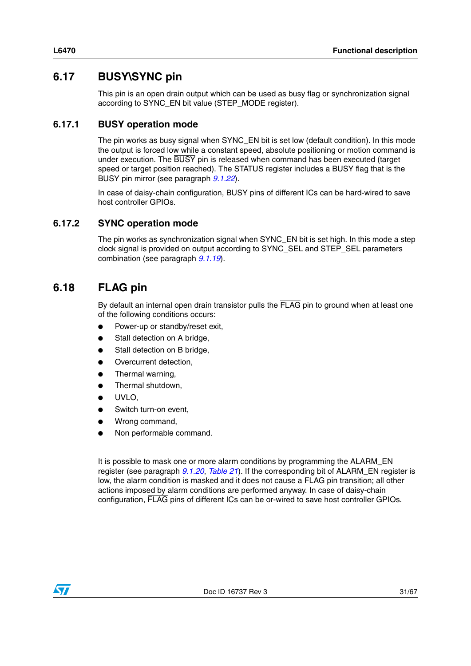### <span id="page-30-0"></span>**6.17 BUSY\SYNC pin**

This pin is an open drain output which can be used as busy flag or synchronization signal according to SYNC\_EN bit value (STEP\_MODE register).

### <span id="page-30-1"></span>**6.17.1 BUSY operation mode**

The pin works as busy signal when SYNC\_EN bit is set low (default condition). In this mode the output is forced low while a constant speed, absolute positioning or motion command is under execution. The BUSY pin is released when command has been executed (target speed or target position reached). The STATUS register includes a BUSY flag that is the BUSY pin mirror (see paragraph *[9.1.22](#page-51-0)*).

In case of daisy-chain configuration, BUSY pins of different ICs can be hard-wired to save host controller GPIOs.

#### <span id="page-30-2"></span>**6.17.2 SYNC operation mode**

The pin works as synchronization signal when SYNC EN bit is set high. In this mode a step clock signal is provided on output according to SYNC\_SEL and STEP\_SEL parameters combination (see paragraph *[9.1.19](#page-44-2)*).

### <span id="page-30-3"></span>**6.18 FLAG pin**

By default an internal open drain transistor pulls the FLAG pin to ground when at least one of the following conditions occurs:

- Power-up or standby/reset exit,
- Stall detection on A bridge,
- Stall detection on B bridge,
- Overcurrent detection,
- Thermal warning,
- Thermal shutdown,
- UVLO.
- Switch turn-on event,
- Wrong command,
- Non performable command.

It is possible to mask one or more alarm conditions by programming the ALARM\_EN register (see paragraph *[9.1.20](#page-46-0)*, *[Table 21](#page-46-3)*). If the corresponding bit of ALARM\_EN register is low, the alarm condition is masked and it does not cause a FLAG pin transition; all other actions imposed by alarm conditions are performed anyway. In case of daisy-chain configuration, FLAG pins of different ICs can be or-wired to save host controller GPIOs.

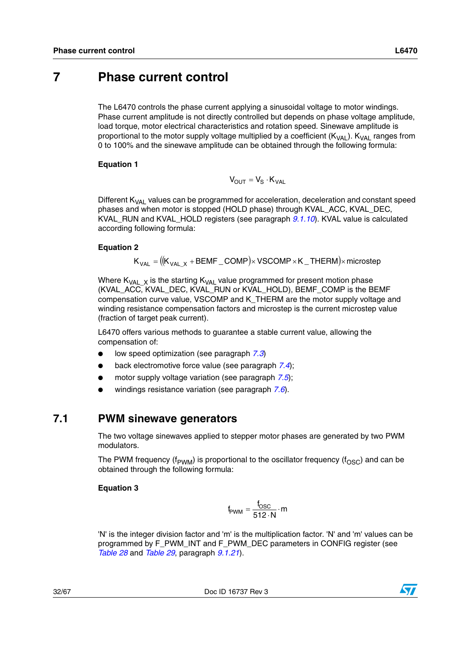### <span id="page-31-0"></span>**7 Phase current control**

The L6470 controls the phase current applying a sinusoidal voltage to motor windings. Phase current amplitude is not directly controlled but depends on phase voltage amplitude, load torque, motor electrical characteristics and rotation speed. Sinewave amplitude is proportional to the motor supply voltage multiplied by a coefficient  $(K_{VA})$ .  $K_{VA}$  ranges from 0 to 100% and the sinewave amplitude can be obtained through the following formula:

#### **Equation 1**

$$
V_{OUT} = V_S \cdot K_{VAL}
$$

Different  $K<sub>VAL</sub>$  values can be programmed for acceleration, deceleration and constant speed phases and when motor is stopped (HOLD phase) through KVAL\_ACC, KVAL\_DEC, KVAL\_RUN and KVAL\_HOLD registers (see paragraph *[9.1.10](#page-41-1)*). KVAL value is calculated according following formula:

#### **Equation 2**

$$
\mathsf{K}_{\mathsf{VAL}} = \big( [\mathsf{K}_{\mathsf{VAL\_X}} + \mathsf{BEMF\_COMP} ] \times \mathsf{VSCOMP} \times \mathsf{K\_THEN} \big) \times \mathsf{microstep}
$$

Where  $K_{VAL}$  x is the starting  $K_{VAL}$  value programmed for present motion phase (KVAL\_ACC, KVAL\_DEC, KVAL\_RUN or KVAL\_HOLD), BEMF\_COMP is the BEMF compensation curve value, VSCOMP and K\_THERM are the motor supply voltage and winding resistance compensation factors and microstep is the current microstep value (fraction of target peak current).

L6470 offers various methods to guarantee a stable current value, allowing the compensation of:

- low speed optimization (see paragraph [7.3](#page-32-1))
- back electromotive force value (see paragraph [7.4](#page-33-0));
- motor supply voltage variation (see paragraph [7.5](#page-33-1));
- windings resistance variation (see paragraph [7.6](#page-34-0)).

#### <span id="page-31-1"></span>**7.1 PWM sinewave generators**

The two voltage sinewaves applied to stepper motor phases are generated by two PWM modulators.

The PWM frequency (f<sub>PWM</sub>) is proportional to the oscillator frequency (f<sub>OSC</sub>) and can be obtained through the following formula:

#### **Equation 3**

$$
f_{\text{PWM}} = \frac{f_{\text{OSC}}}{512 \cdot N} \cdot m
$$

'N' is the integer division factor and 'm' is the multiplication factor. 'N' and 'm' values can be programmed by F\_PWM\_INT and F\_PWM\_DEC parameters in CONFIG register (see *[Table 28](#page-48-3)* and *[Table 29](#page-49-0)*, paragraph *[9.1.21](#page-46-1)*).

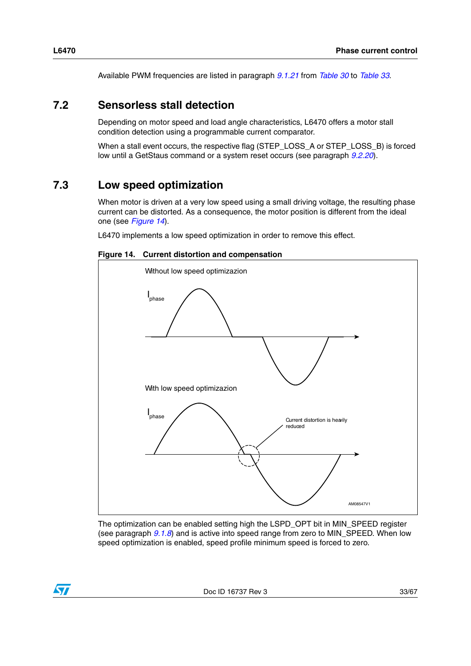Available PWM frequencies are listed in paragraph *[9.1.21](#page-46-1)* from *[Table 30](#page-49-1)* to *[Table 33](#page-51-1)*.

### <span id="page-32-0"></span>**7.2 Sensorless stall detection**

Depending on motor speed and load angle characteristics, L6470 offers a motor stall condition detection using a programmable current comparator.

When a stall event occurs, the respective flag (STEP\_LOSS\_A or STEP\_LOSS\_B) is forced low until a GetStaus command or a system reset occurs (see paragraph *[9.2.20](#page-62-0)*).

### <span id="page-32-1"></span>**7.3 Low speed optimization**

When motor is driven at a very low speed using a small driving voltage, the resulting phase current can be distorted. As a consequence, the motor position is different from the ideal one (see *[Figure 14](#page-32-2)*).

L6470 implements a low speed optimization in order to remove this effect.

<span id="page-32-2"></span>**Figure 14. Current distortion and compensation**



The optimization can be enabled setting high the LSPD\_OPT bit in MIN\_SPEED register (see paragraph *[9.1.8](#page-40-2)*) and is active into speed range from zero to MIN\_SPEED. When low speed optimization is enabled, speed profile minimum speed is forced to zero.

 $\sqrt{2}$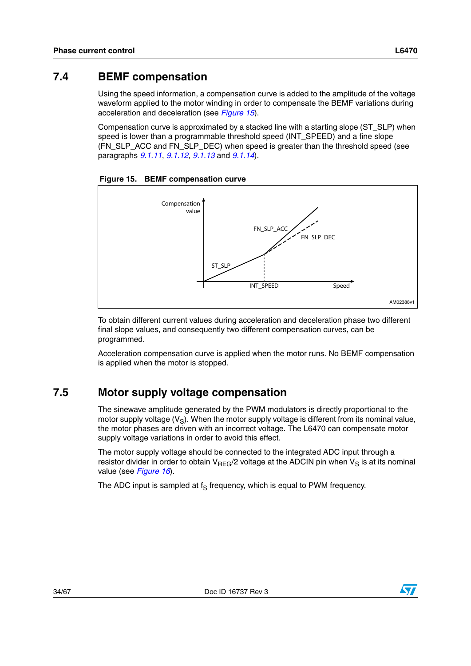### <span id="page-33-0"></span>**7.4 BEMF compensation**

Using the speed information, a compensation curve is added to the amplitude of the voltage waveform applied to the motor winding in order to compensate the BEMF variations during acceleration and deceleration (see *[Figure 15](#page-33-2)*).

Compensation curve is approximated by a stacked line with a starting slope (ST\_SLP) when speed is lower than a programmable threshold speed (INT\_SPEED) and a fine slope (FN\_SLP\_ACC and FN\_SLP\_DEC) when speed is greater than the threshold speed (see paragraphs *[9.1.11](#page-42-0)*, *[9.1.12](#page-42-1)*, *[9.1.13](#page-42-2)* and *[9.1.14](#page-43-0)*).

<span id="page-33-2"></span>



To obtain different current values during acceleration and deceleration phase two different final slope values, and consequently two different compensation curves, can be programmed.

Acceleration compensation curve is applied when the motor runs. No BEMF compensation is applied when the motor is stopped.

### <span id="page-33-1"></span>**7.5 Motor supply voltage compensation**

The sinewave amplitude generated by the PWM modulators is directly proportional to the motor supply voltage  $(V_S)$ . When the motor supply voltage is different from its nominal value, the motor phases are driven with an incorrect voltage. The L6470 can compensate motor supply voltage variations in order to avoid this effect.

The motor supply voltage should be connected to the integrated ADC input through a resistor divider in order to obtain  $V_{REG}/2$  voltage at the ADCIN pin when  $V_S$  is at its nominal value (see *[Figure 16](#page-34-1)*).

The ADC input is sampled at  $f_S$  frequency, which is equal to PWM frequency.

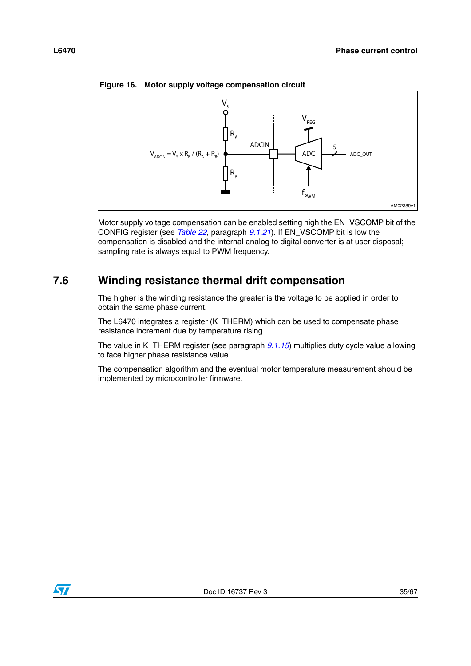

<span id="page-34-1"></span>**Figure 16. Motor supply voltage compensation circuit**

Motor supply voltage compensation can be enabled setting high the EN\_VSCOMP bit of the CONFIG register (see *[Table 22](#page-46-4)*, paragraph *[9.1.21](#page-46-1)*). If EN\_VSCOMP bit is low the compensation is disabled and the internal analog to digital converter is at user disposal; sampling rate is always equal to PWM frequency.

### <span id="page-34-0"></span>**7.6 Winding resistance thermal drift compensation**

The higher is the winding resistance the greater is the voltage to be applied in order to obtain the same phase current.

The L6470 integrates a register (K\_THERM) which can be used to compensate phase resistance increment due by temperature rising.

The value in K\_THERM register (see paragraph *[9.1.15](#page-43-1)*) multiplies duty cycle value allowing to face higher phase resistance value.

The compensation algorithm and the eventual motor temperature measurement should be implemented by microcontroller firmware.

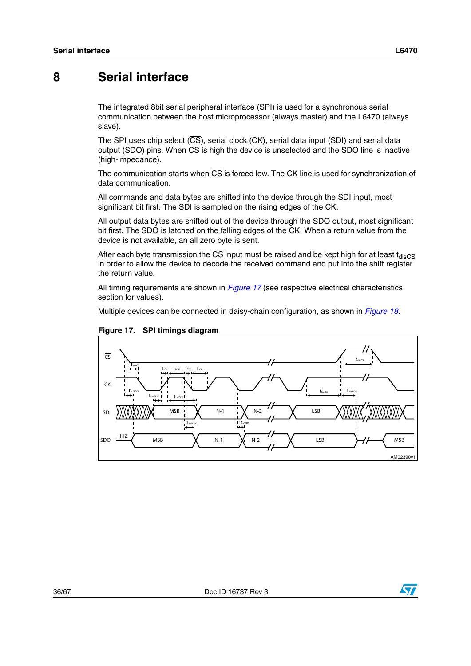### <span id="page-35-0"></span>**8 Serial interface**

The integrated 8bit serial peripheral interface (SPI) is used for a synchronous serial communication between the host microprocessor (always master) and the L6470 (always slave).

The SPI uses chip select  $(\overline{CS})$ , serial clock  $(CK)$ , serial data input (SDI) and serial data output (SDO) pins. When  $\overline{CS}$  is high the device is unselected and the SDO line is inactive (high-impedance).

The communication starts when  $\overline{\text{CS}}$  is forced low. The CK line is used for synchronization of data communication.

All commands and data bytes are shifted into the device through the SDI input, most significant bit first. The SDI is sampled on the rising edges of the CK.

All output data bytes are shifted out of the device through the SDO output, most significant bit first. The SDO is latched on the falling edges of the CK. When a return value from the device is not available, an all zero byte is sent.

After each byte transmission the  $\overline{CS}$  input must be raised and be kept high for at least t<sub>disCS</sub> in order to allow the device to decode the received command and put into the shift register the return value.

All timing requirements are shown in *[Figure 17](#page-35-1)* (see respective electrical characteristics section for values).

Multiple devices can be connected in daisy-chain configuration, as shown in *[Figure 18](#page-36-0)*.



<span id="page-35-1"></span>

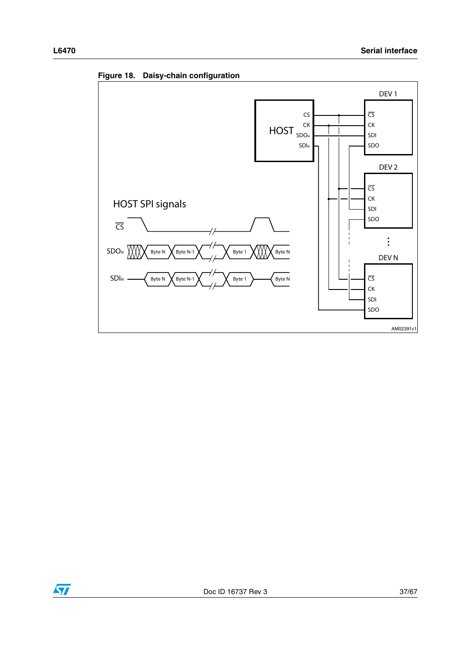

<span id="page-36-0"></span>**Figure 18. Daisy-chain configuration**

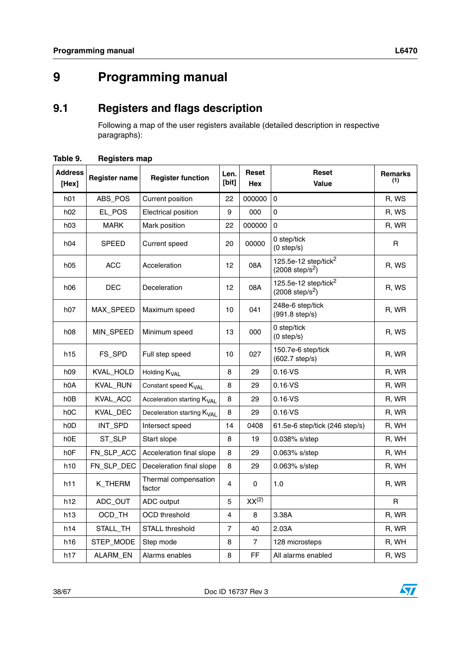# <span id="page-37-0"></span>**9 Programming manual**

## <span id="page-37-1"></span>**9.1 Registers and flags description**

Following a map of the user registers available (detailed description in respective paragraphs):

| <b>Address</b><br>[Hex] | <b>Register name</b> | <b>Register function</b>               | Len.<br>[bit]  | Reset<br>Hex      | Reset<br>Value                                                | <b>Remarks</b><br>(1) |
|-------------------------|----------------------|----------------------------------------|----------------|-------------------|---------------------------------------------------------------|-----------------------|
| h01                     | ABS_POS              | Current position                       | 22             | 000000            | $\mathbf{0}$                                                  | R, WS                 |
| h02                     | EL_POS               | Electrical position                    | 9              | 000               | $\Omega$                                                      | R, WS                 |
| h03                     | <b>MARK</b>          | Mark position                          | 22             | 000000            | $\Omega$                                                      | R, WR                 |
| h04                     | <b>SPEED</b>         | Current speed                          | 20             | 00000             | 0 step/tick<br>$(0$ step/s)                                   | R                     |
| h05                     | <b>ACC</b>           | Acceleration                           | 12             | 08A               | 125.5e-12 step/tick <sup>2</sup><br>$(2008 \text{ step/s}^2)$ | R, WS                 |
| h06                     | <b>DEC</b>           | Deceleration                           | 12             | 08A               | 125.5e-12 step/tick $^2$<br>$(2008 \text{ step/s}^2)$         | R, WS                 |
| h07                     | MAX_SPEED            | Maximum speed                          | 10             | 041               | 248e-6 step/tick<br>$(991.8 \text{ step/s})$                  | R, WR                 |
| h08                     | <b>MIN SPEED</b>     | Minimum speed                          | 13             | 000               | 0 step/tick<br>$(0$ step/s)                                   | R, WS                 |
| h15                     | FS_SPD               | Full step speed                        | 10             | 027               | 150.7e-6 step/tick<br>(602.7 step/s)                          | R, WR                 |
| h09                     | KVAL_HOLD            | Holding K <sub>VAI</sub>               | 8              | 29                | $0.16\cdot\text{VS}$                                          | R, WR                 |
| h0A                     | KVAL_RUN             | Constant speed K <sub>VAL</sub>        | 8              | 29                | $0.16\,V$ S                                                   | R, WR                 |
| h0 <sub>B</sub>         | KVAL_ACC             | Acceleration starting K <sub>VAL</sub> | 8              | 29                | $0.16\,$ VS                                                   | R, WR                 |
| h <sub>0</sub> C        | KVAL_DEC             | Deceleration starting K <sub>VAL</sub> | 8              | 29                | $0.16\,$ VS                                                   | R, WR                 |
| h <sub>0</sub> D        | INT_SPD              | Intersect speed                        | 14             | 0408              | 61.5e-6 step/tick (246 step/s)                                | R, WH                 |
| h0E                     | ST_SLP               | Start slope                            | 8              | 19                | $0.038\%$ s/step                                              | R, WH                 |
| h <sub>0</sub> F        | FN_SLP_ACC           | Acceleration final slope               | 8              | 29                | 0.063% s/step                                                 | R, WH                 |
| h10                     | FN_SLP_DEC           | Deceleration final slope               | 8              | 29                | 0.063% s/step                                                 | R, WH                 |
| h11                     | K_THERM              | Thermal compensation<br>factor         | 4              | 0                 | 1.0                                                           | R, WR                 |
| h12                     | ADC_OUT              | ADC output                             | 5              | XX <sup>(2)</sup> |                                                               | R                     |
| h13                     | OCD_TH               | <b>OCD</b> threshold                   | 4              | 8                 | 3.38A                                                         | R, WR                 |
| h14                     | STALL_TH             | <b>STALL threshold</b>                 | $\overline{7}$ | 40                | 2.03A                                                         | R, WR                 |
| h16                     | STEP_MODE            | Step mode                              | 8              | $\overline{7}$    | 128 microsteps                                                | R, WH                 |
| h17                     | ALARM_EN             | Alarms enables                         | 8              | FF                | All alarms enabled                                            | R, WS                 |

#### <span id="page-37-2"></span>**Table 9. Registers map**

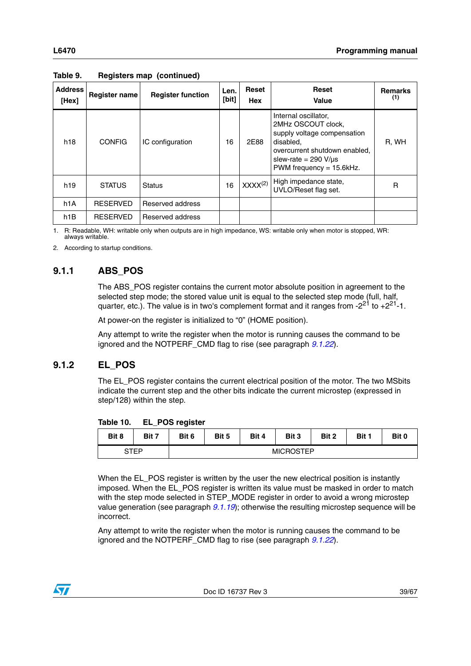| <b>Address</b><br>[Hex] | <b>Register name</b> | <b>Register function</b> | Len.<br>[bit] | <b>Reset</b><br>Hex | <b>Reset</b><br>Value                                                                                                                                                               | <b>Remarks</b><br>(1) |
|-------------------------|----------------------|--------------------------|---------------|---------------------|-------------------------------------------------------------------------------------------------------------------------------------------------------------------------------------|-----------------------|
| h18                     | <b>CONFIG</b>        | IC configuration         | 16            | 2E88                | Internal oscillator,<br>2MHz OSCOUT clock,<br>supply voltage compensation<br>disabled,<br>overcurrent shutdown enabled.<br>slew-rate = $290 V/\mu s$<br>PWM frequency = $15.6$ kHz. | R, WH                 |
| h <sub>19</sub>         | <b>STATUS</b>        | <b>Status</b>            | 16            | XXX <sup>(2)</sup>  | High impedance state,<br>UVLO/Reset flag set.                                                                                                                                       | R                     |
| h1A                     | <b>RESERVED</b>      | Reserved address         |               |                     |                                                                                                                                                                                     |                       |
| h <sub>1</sub> B        | <b>RESERVED</b>      | Reserved address         |               |                     |                                                                                                                                                                                     |                       |

**Table 9. Registers map (continued)**

1. R: Readable, WH: writable only when outputs are in high impedance, WS: writable only when motor is stopped, WR: always writable.

2. According to startup conditions.

### <span id="page-38-0"></span>**9.1.1 ABS\_POS**

The ABS\_POS register contains the current motor absolute position in agreement to the selected step mode; the stored value unit is equal to the selected step mode (full, half, quarter, etc.). The value is in two's complement format and it ranges from  $-2^{21}$  to  $+2^{21}$ -1.

At power-on the register is initialized to "0" (HOME position).

Any attempt to write the register when the motor is running causes the command to be ignored and the NOTPERF\_CMD flag to rise (see paragraph *[9.1.22](#page-51-0)*).

#### <span id="page-38-1"></span>**9.1.2 EL\_POS**

The EL\_POS register contains the current electrical position of the motor. The two MSbits indicate the current step and the other bits indicate the current microstep (expressed in step/128) within the step.

<span id="page-38-2"></span>**Table 10. EL\_POS register**

| Bit 8 | Bit 7       | Bit 6 | Bit 5            | Bit 4 | Bit 3 | Bit 2 | Bit 1 | Bit 0 |  |
|-------|-------------|-------|------------------|-------|-------|-------|-------|-------|--|
|       | <b>STEP</b> |       | <b>MICROSTEP</b> |       |       |       |       |       |  |

When the EL\_POS register is written by the user the new electrical position is instantly imposed. When the EL\_POS register is written its value must be masked in order to match with the step mode selected in STEP\_MODE register in order to avoid a wrong microstep value generation (see paragraph *[9.1.19](#page-44-2)*); otherwise the resulting microstep sequence will be incorrect.

Any attempt to write the register when the motor is running causes the command to be ignored and the NOTPERF\_CMD flag to rise (see paragraph *[9.1.22](#page-51-0)*).

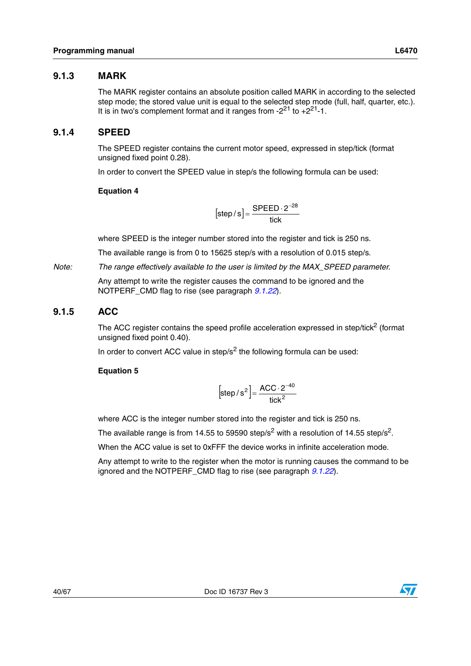#### <span id="page-39-0"></span>**9.1.3 MARK**

The MARK register contains an absolute position called MARK in according to the selected step mode; the stored value unit is equal to the selected step mode (full, half, quarter, etc.). It is in two's complement format and it ranges from  $-2^{21}$  to  $+2^{21}$ -1.

#### <span id="page-39-1"></span>**9.1.4 SPEED**

The SPEED register contains the current motor speed, expressed in step/tick (format unsigned fixed point 0.28).

In order to convert the SPEED value in step/s the following formula can be used:

#### **Equation 4**

$$
[step/s] = \frac{SPEED \cdot 2^{-28}}{tick}
$$

where SPEED is the integer number stored into the register and tick is 250 ns.

The available range is from 0 to 15625 step/s with a resolution of 0.015 step/s.

*Note: The range effectively available to the user is limited by the MAX\_SPEED parameter.*

Any attempt to write the register causes the command to be ignored and the NOTPERF\_CMD flag to rise (see paragraph *[9.1.22](#page-51-0)*).

#### <span id="page-39-2"></span>**9.1.5 ACC**

The ACC register contains the speed profile acceleration expressed in step/tick<sup>2</sup> (format unsigned fixed point 0.40).

In order to convert ACC value in step/ $s^2$  the following formula can be used:

#### **Equation 5**

$$
[\text{step/s}^2] = \frac{\text{ACC} \cdot 2^{-40}}{\text{tick}^2}
$$

where ACC is the integer number stored into the register and tick is 250 ns.

The available range is from 14.55 to 59590 step/s<sup>2</sup> with a resolution of 14.55 step/s<sup>2</sup>.

When the ACC value is set to 0xFFF the device works in infinite acceleration mode.

Any attempt to write to the register when the motor is running causes the command to be ignored and the NOTPERF\_CMD flag to rise (see paragraph *[9.1.22](#page-51-0)*).

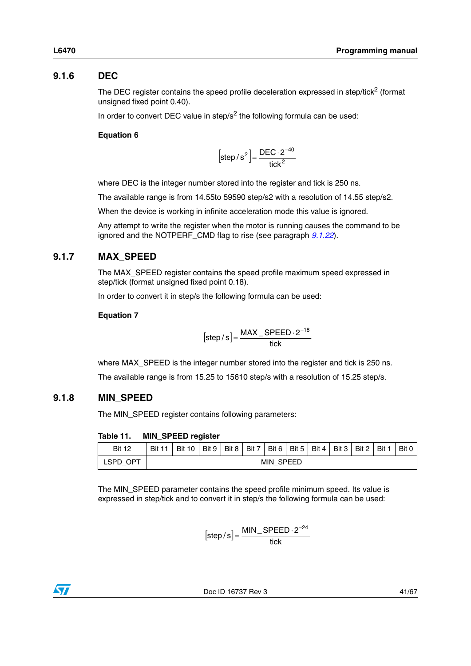### <span id="page-40-0"></span>**9.1.6 DEC**

The DEC register contains the speed profile deceleration expressed in step/tick $2$  (format unsigned fixed point 0.40).

In order to convert DEC value in step/ $s^2$  the following formula can be used:

#### **Equation 6**

 $\left[$ step/s<sup>2</sup> $\right]$  =  $\frac{12202}{100}$  $_{2}]_{-}$  DEC  $\cdot$  2 $^{-40}$ tick  $\left[\text{step/s}^2\right] = \frac{\text{DEC}\cdot 2^{-1}}{2}$ 

where DEC is the integer number stored into the register and tick is 250 ns.

The available range is from 14.55to 59590 step/s2 with a resolution of 14.55 step/s2.

When the device is working in infinite acceleration mode this value is ignored.

Any attempt to write the register when the motor is running causes the command to be ignored and the NOTPERF\_CMD flag to rise (see paragraph *[9.1.22](#page-51-0)*).

### <span id="page-40-1"></span>**9.1.7 MAX\_SPEED**

The MAX\_SPEED register contains the speed profile maximum speed expressed in step/tick (format unsigned fixed point 0.18).

In order to convert it in step/s the following formula can be used:

#### **Equation 7**

$$
[step/s] = \frac{\text{MAX\_SPEED} \cdot 2^{-18}}{\text{tick}}
$$

where MAX\_SPEED is the integer number stored into the register and tick is 250 ns. The available range is from 15.25 to 15610 step/s with a resolution of 15.25 step/s.

#### <span id="page-40-2"></span>**9.1.8 MIN\_SPEED**

The MIN\_SPEED register contains following parameters:

<span id="page-40-3"></span>

|  | Table 11. |  |  | MIN_SPEED register |
|--|-----------|--|--|--------------------|
|--|-----------|--|--|--------------------|

| <b>Bit 12</b> |                  | Bit 11   Bit 10 |  |  |  | Bit 9   Bit 8   Bit 7   Bit 6   Bit 5   Bit 4   Bit 3   Bit 2   Bit 1 |  |  |  |  |  | Bit 0 |
|---------------|------------------|-----------------|--|--|--|-----------------------------------------------------------------------|--|--|--|--|--|-------|
| LSPD OPT      | <b>MIN SPEED</b> |                 |  |  |  |                                                                       |  |  |  |  |  |       |

The MIN\_SPEED parameter contains the speed profile minimum speed. Its value is expressed in step/tick and to convert it in step/s the following formula can be used:

$$
[step/s] = \frac{MIN\_SPEED \cdot 2^{-24}}{tick}
$$

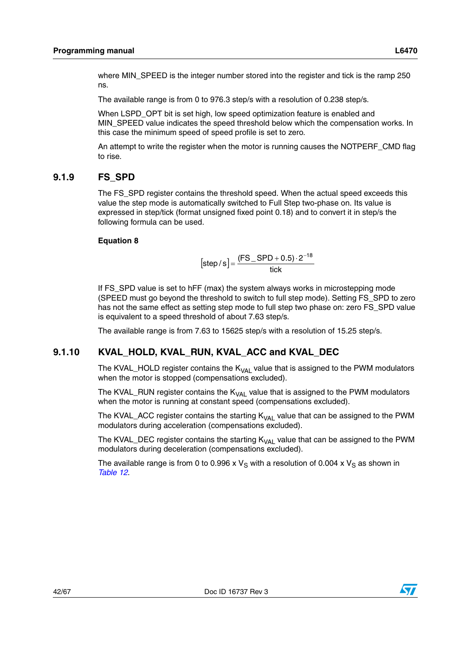The available range is from 0 to 976.3 step/s with a resolution of 0.238 step/s.

When LSPD OPT bit is set high, low speed optimization feature is enabled and MIN\_SPEED value indicates the speed threshold below which the compensation works. In this case the minimum speed of speed profile is set to zero.

An attempt to write the register when the motor is running causes the NOTPERF\_CMD flag to rise.

### <span id="page-41-0"></span>**9.1.9 FS\_SPD**

The FS\_SPD register contains the threshold speed. When the actual speed exceeds this value the step mode is automatically switched to Full Step two-phase on. Its value is expressed in step/tick (format unsigned fixed point 0.18) and to convert it in step/s the following formula can be used.

#### **Equation 8**

$$
[step/s] = \frac{(FS\_SPD + 0.5) \cdot 2^{-18}}{tick}
$$

If FS SPD value is set to hFF (max) the system always works in microstepping mode (SPEED must go beyond the threshold to switch to full step mode). Setting FS\_SPD to zero has not the same effect as setting step mode to full step two phase on: zero FS\_SPD value is equivalent to a speed threshold of about 7.63 step/s.

The available range is from 7.63 to 15625 step/s with a resolution of 15.25 step/s.

### <span id="page-41-1"></span>**9.1.10 KVAL\_HOLD, KVAL\_RUN, KVAL\_ACC and KVAL\_DEC**

The KVAL\_HOLD register contains the  $K_{VAL}$  value that is assigned to the PWM modulators when the motor is stopped (compensations excluded).

The KVAL\_RUN register contains the  $K_{VAL}$  value that is assigned to the PWM modulators when the motor is running at constant speed (compensations excluded).

The KVAL\_ACC register contains the starting  $K_{VAL}$  value that can be assigned to the PWM modulators during acceleration (compensations excluded).

The KVAL\_DEC register contains the starting  $K_{VAL}$  value that can be assigned to the PWM modulators during deceleration (compensations excluded).

The available range is from 0 to 0.996 x  $V_S$  with a resolution of 0.004 x  $V_S$  as shown in *[Table 12](#page-42-3)*.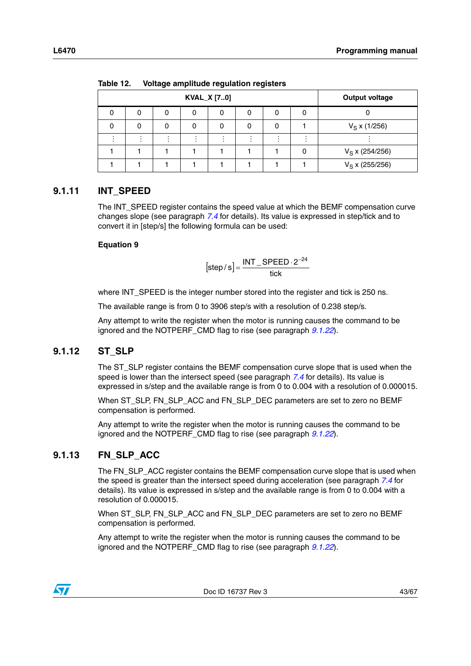|   | <b>KVAL_X [70]</b> |   |  | <b>Output voltage</b> |
|---|--------------------|---|--|-----------------------|
| 0 | 0                  | 0 |  |                       |
| 0 |                    |   |  | $V_S$ x (1/256)       |
|   |                    |   |  |                       |
|   |                    |   |  | $V_S$ x (254/256)     |
|   |                    |   |  | $V_S$ x (255/256)     |

<span id="page-42-3"></span>**Table 12. Voltage amplitude regulation registers** 

### <span id="page-42-0"></span>**9.1.11 INT\_SPEED**

The INT\_SPEED register contains the speed value at which the BEMF compensation curve changes slope (see paragraph *[7.4](#page-33-0)* for details). Its value is expressed in step/tick and to convert it in [step/s] the following formula can be used:

#### **Equation 9**

$$
[step/s] = \frac{INT\_SPEED \cdot 2^{-24}}{tick}
$$

where INT\_SPEED is the integer number stored into the register and tick is 250 ns.

The available range is from 0 to 3906 step/s with a resolution of 0.238 step/s.

Any attempt to write the register when the motor is running causes the command to be ignored and the NOTPERF\_CMD flag to rise (see paragraph *[9.1.22](#page-51-0)*).

#### <span id="page-42-1"></span>**9.1.12 ST\_SLP**

The ST\_SLP register contains the BEMF compensation curve slope that is used when the speed is lower than the intersect speed (see paragraph *[7.4](#page-33-0)* for details). Its value is expressed in s/step and the available range is from 0 to 0.004 with a resolution of 0.000015.

When ST\_SLP, FN\_SLP\_ACC and FN\_SLP\_DEC parameters are set to zero no BEMF compensation is performed.

Any attempt to write the register when the motor is running causes the command to be ignored and the NOTPERF\_CMD flag to rise (see paragraph *[9.1.22](#page-51-0)*).

#### <span id="page-42-2"></span>**9.1.13 FN\_SLP\_ACC**

The FN\_SLP\_ACC register contains the BEMF compensation curve slope that is used when the speed is greater than the intersect speed during acceleration (see paragraph *[7.4](#page-33-0)* for details). Its value is expressed in s/step and the available range is from 0 to 0.004 with a resolution of 0.000015.

When ST\_SLP, FN\_SLP\_ACC and FN\_SLP\_DEC parameters are set to zero no BEMF compensation is performed.

Any attempt to write the register when the motor is running causes the command to be ignored and the NOTPERF\_CMD flag to rise (see paragraph *[9.1.22](#page-51-0)*).

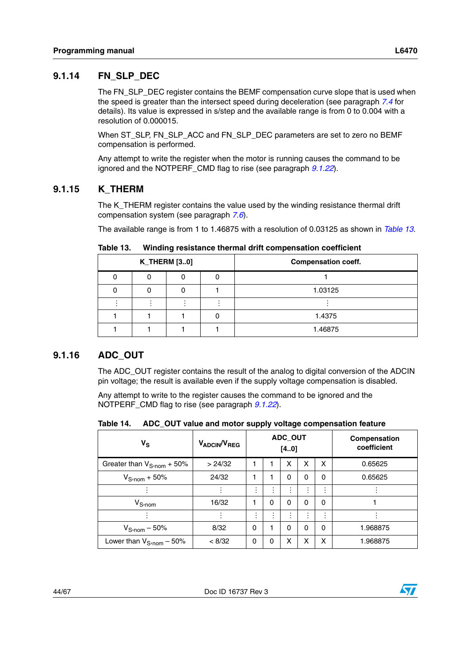### <span id="page-43-0"></span>**9.1.14 FN\_SLP\_DEC**

The FN\_SLP\_DEC register contains the BEMF compensation curve slope that is used when the speed is greater than the intersect speed during deceleration (see paragraph *[7.4](#page-33-0)* for details). Its value is expressed in s/step and the available range is from 0 to 0.004 with a resolution of 0.000015.

When ST\_SLP, FN\_SLP\_ACC and FN\_SLP\_DEC parameters are set to zero no BEMF compensation is performed.

Any attempt to write the register when the motor is running causes the command to be ignored and the NOTPERF\_CMD flag to rise (see paragraph *[9.1.22](#page-51-0)*).

#### <span id="page-43-1"></span>**9.1.15 K\_THERM**

The K\_THERM register contains the value used by the winding resistance thermal drift compensation system (see paragraph *[7.6](#page-34-0)*).

The available range is from 1 to 1.46875 with a resolution of 0.03125 as shown in *[Table 13](#page-43-3)*.

|  | <b>K_THERM [30]</b> | <b>Compensation coeff.</b> |
|--|---------------------|----------------------------|
|  |                     |                            |
|  |                     | 1.03125                    |
|  |                     |                            |
|  |                     | 1.4375                     |
|  |                     | 1.46875                    |

<span id="page-43-3"></span>Table 13. **Table 13. Winding resistance thermal drift compensation coefficient**

### <span id="page-43-2"></span>**9.1.16 ADC\_OUT**

The ADC\_OUT register contains the result of the analog to digital conversion of the ADCIN pin voltage; the result is available even if the supply voltage compensation is disabled.

Any attempt to write to the register causes the command to be ignored and the NOTPERF\_CMD flag to rise (see paragraph *[9.1.22](#page-51-0)*).

<span id="page-43-4"></span>

|  | Table 14. ADC_OUT value and motor supply voltage compensation feature |
|--|-----------------------------------------------------------------------|
|--|-----------------------------------------------------------------------|

| $V_S$                                  | V <sub>ADCIN</sub> /V <sub>REG</sub> | ADC_OUT<br>$[40]$ |                             |                                  |                |        | Compensation<br>coefficient |
|----------------------------------------|--------------------------------------|-------------------|-----------------------------|----------------------------------|----------------|--------|-----------------------------|
| Greater than $V_{S\text{-nom}} + 50\%$ | > 24/32                              | 1                 |                             | x                                | x              | x      | 0.65625                     |
| $V_{\text{S} \cdot \text{nom}} + 50\%$ | 24/32                                | 1                 | 1                           | 0                                | 0              | 0      | 0.65625                     |
|                                        |                                      | ٠                 | $\bullet$<br>$\blacksquare$ | $\blacksquare$<br>$\blacksquare$ | $\blacksquare$ | $\sim$ |                             |
| $V_{S;nom}$                            | 16/32                                | 1                 | 0                           | 0                                | 0              | 0      |                             |
|                                        |                                      | ٠                 | $\blacksquare$              | $\blacksquare$                   |                | ٠<br>٠ |                             |
| $V_{\text{S-nom}} - 50\%$              | 8/32                                 | 0                 |                             | 0                                | 0              | 0      | 1.968875                    |
| Lower than $V_{S\text{-nom}} - 50\%$   | < 8/32                               | 0                 | 0                           | x                                | x              | X      | 1.968875                    |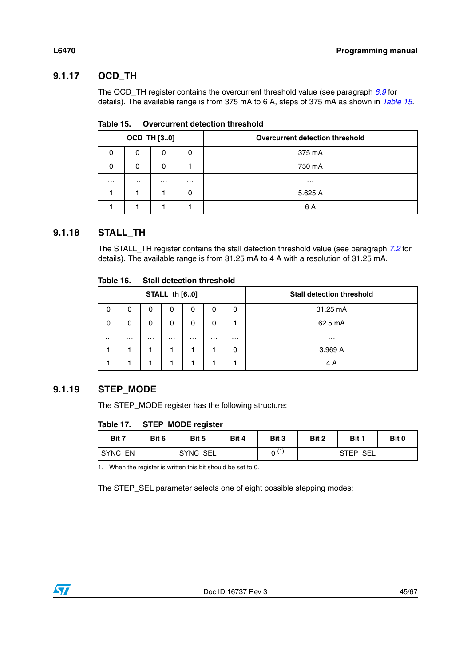### <span id="page-44-0"></span>**9.1.17 OCD\_TH**

The OCD\_TH register contains the overcurrent threshold value (see paragraph *[6.9](#page-26-0)* for details). The available range is from 375 mA to 6 A, steps of 375 mA as shown in *[Table 15](#page-44-3)*.

<span id="page-44-3"></span>

|          |          | <b>OCD_TH [30]</b> |          | Overcurrent detection threshold |
|----------|----------|--------------------|----------|---------------------------------|
| 0        | 0        | 0                  | 0        | 375 mA                          |
| 0        | 0        |                    |          | 750 mA                          |
| $\cdots$ | $\cdots$ | $\cdots$           | $\cdots$ | $\cdots$                        |
|          |          |                    | 0        | 5.625 A                         |
|          |          |                    |          | 6 A                             |

### <span id="page-44-1"></span>**9.1.18 STALL\_TH**

The STALL\_TH register contains the stall detection threshold value (see paragraph *[7.2](#page-32-0)* for details). The available range is from 31.25 mA to 4 A with a resolution of 31.25 mA.

<span id="page-44-4"></span>

| Table 16. |  |  | <b>Stall detection threshold</b> |
|-----------|--|--|----------------------------------|
|-----------|--|--|----------------------------------|

|          |          |          | <b>STALL_th [60]</b> |          |          |          | <b>Stall detection threshold</b> |
|----------|----------|----------|----------------------|----------|----------|----------|----------------------------------|
| 0        | 0        | 0        | 0                    | 0        | 0        | 0        | 31.25 mA                         |
| 0        | 0        | 0        | 0                    | 0        | 0        |          | 62.5 mA                          |
| $\cdots$ | $\cdots$ | $\cdots$ | $\cdots$             | $\cdots$ | $\cdots$ | $\cdots$ | $\cdots$                         |
|          |          |          |                      |          |          | 0        | 3.969 A                          |
|          |          |          |                      |          |          |          | 4 A                              |

### <span id="page-44-2"></span>**9.1.19 STEP\_MODE**

The STEP\_MODE register has the following structure:

#### <span id="page-44-5"></span>Table 17. **STEP\_MODE register**

| Bit 7   | Bit 6    | Bit 5 | Bit 4 | Bit 3 | Bit 2    | Bit 1 | Bit 0 |
|---------|----------|-------|-------|-------|----------|-------|-------|
| SYNC_EN | SYNC SEL |       |       | (1)   | STEP SEL |       |       |

1. When the register is written this bit should be set to 0.

The STEP\_SEL parameter selects one of eight possible stepping modes:

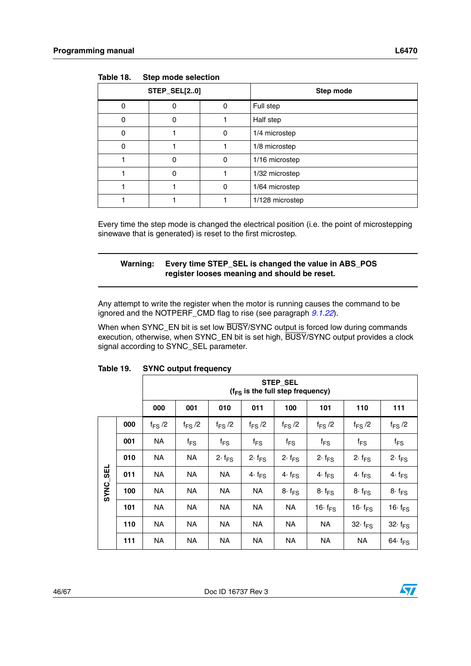| <b>STEP_SEL[20]</b> |   |   | Step mode       |
|---------------------|---|---|-----------------|
|                     |   | 0 | Full step       |
|                     |   |   | Half step       |
|                     |   | 0 | 1/4 microstep   |
|                     |   |   | 1/8 microstep   |
|                     | ი | 0 | 1/16 microstep  |
|                     | ი |   | 1/32 microstep  |
|                     |   | 0 | 1/64 microstep  |
|                     |   |   | 1/128 microstep |

<span id="page-45-0"></span>Table 18. **Step mode selection** 

Every time the step mode is changed the electrical position (i.e. the point of microstepping sinewave that is generated) is reset to the first microstep.

#### **Warning: Every time STEP\_SEL is changed the value in ABS\_POS register looses meaning and should be reset.**

Any attempt to write the register when the motor is running causes the command to be ignored and the NOTPERF\_CMD flag to rise (see paragraph *[9.1.22](#page-51-0)*).

When when SYNC\_EN bit is set low BUSY/SYNC output is forced low during commands execution, otherwise, when SYNC\_EN bit is set high, BUSY/SYNC output provides a clock signal according to SYNC\_SEL parameter.

|             |     | STEP_SEL<br>$(f_{FS}$ is the full step frequency) |                   |                  |                  |                  |                            |                            |                            |
|-------------|-----|---------------------------------------------------|-------------------|------------------|------------------|------------------|----------------------------|----------------------------|----------------------------|
|             |     | 000                                               | 001               | 010              | 011              | 100              | 101                        | 110                        | 111                        |
|             | 000 | $f_{FS}$ /2                                       | $f_{FS}$ /2       | $f_{FS}$ /2      | $f_{FS}$ /2      | $f_{FS}$ /2      | $f_{FS}$ /2                | $f_{FS}$ /2                | $f_{FS}$ /2                |
|             | 001 | <b>NA</b>                                         | $f_{\mathsf{FS}}$ | $f_{FS}$         | $f_{FS}$         | $f_{FS}$         | $f_{FS}$                   | $f_{FS}$                   | $f_{FS}$                   |
|             | 010 | <b>NA</b>                                         | <b>NA</b>         | $2 \cdot f_{FS}$ | $2 \cdot f_{FS}$ | $2 \cdot f_{FS}$ | $2 \cdot f_{FS}$           | $2 \cdot f_{FS}$           | $2 \cdot f_{FS}$           |
| <b>SEL</b>  | 011 | <b>NA</b>                                         | <b>NA</b>         | NA.              | 4. $f_{FS}$      | $4 \cdot f_{FS}$ | 4. $f_{FS}$                | $4 \cdot f_{FS}$           | $4 \cdot f_{FS}$           |
| <b>SYNC</b> | 100 | <b>NA</b>                                         | NA.               | <b>NA</b>        | <b>NA</b>        | $8 \cdot f_{FS}$ | $8 \cdot f_{FS}$           | $8 \cdot f_{FS}$           | $8 \cdot f_{FS}$           |
|             | 101 | ΝA                                                | <b>NA</b>         | <b>NA</b>        | <b>NA</b>        | <b>NA</b>        | 16 $\cdot$ f <sub>FS</sub> | 16 $\cdot$ f <sub>FS</sub> | 16 $\cdot$ f <sub>FS</sub> |
|             | 110 | ΝA                                                | <b>NA</b>         | <b>NA</b>        | <b>NA</b>        | <b>NA</b>        | NA                         | 32 $\cdot$ f <sub>FS</sub> | $32 \cdot f_{FS}$          |
|             | 111 | NA                                                | NА                | NΑ               | NΑ               | <b>NA</b>        | ΝA                         | NA                         | 64 $\cdot$ f <sub>FS</sub> |

#### <span id="page-45-1"></span>**Table 19. SYNC output frequency**

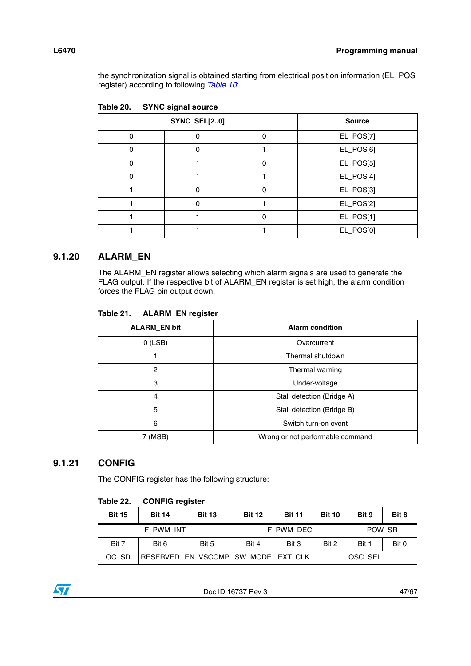the synchronization signal is obtained starting from electrical position information (EL\_POS register) according to following *[Table 10](#page-38-2)*:

|   | -<br><b>SYNC_SEL[20]</b> | <b>Source</b> |           |
|---|--------------------------|---------------|-----------|
|   |                          |               | EL_POS[7] |
| n |                          |               | EL_POS[6] |
|   |                          | n             | EL_POS[5] |
| n |                          |               | EL_POS[4] |
|   | ი                        | ŋ             | EL_POS[3] |
|   | n                        |               | EL_POS[2] |
|   |                          | n             | EL_POS[1] |
|   |                          |               | EL_POS[0] |

<span id="page-46-2"></span>

| <b>SYNC signal source</b><br>Table 20. |
|----------------------------------------|
|----------------------------------------|

#### <span id="page-46-0"></span>**9.1.20 ALARM\_EN**

The ALARM\_EN register allows selecting which alarm signals are used to generate the FLAG output. If the respective bit of ALARM\_EN register is set high, the alarm condition forces the FLAG pin output down.

<span id="page-46-3"></span>

| Table 21. |  | <b>ALARM_EN register</b> |
|-----------|--|--------------------------|
|-----------|--|--------------------------|

| <b>ALARM_EN bit</b>                         | <b>Alarm condition</b>     |  |  |
|---------------------------------------------|----------------------------|--|--|
| $O$ (LSB)                                   | Overcurrent                |  |  |
|                                             | Thermal shutdown           |  |  |
| $\overline{c}$                              | Thermal warning            |  |  |
| 3                                           | Under-voltage              |  |  |
| 4                                           | Stall detection (Bridge A) |  |  |
| 5                                           | Stall detection (Bridge B) |  |  |
| 6                                           | Switch turn-on event       |  |  |
| Wrong or not performable command<br>7 (MSB) |                            |  |  |

#### <span id="page-46-1"></span>**9.1.21 CONFIG**

The CONFIG register has the following structure:

#### <span id="page-46-4"></span>**Table 22. CONFIG register**

| <b>Bit 15</b> | <b>Bit 14</b> | <b>Bit 13</b>                            | <b>Bit 12</b> | <b>Bit 11</b> | <b>Bit 10</b> | Bit 9   | Bit 8 |
|---------------|---------------|------------------------------------------|---------------|---------------|---------------|---------|-------|
|               | F PWM INT     |                                          |               | F_PWM_DEC     |               | POW SR  |       |
| Bit 7         | Bit 6         | Bit 5                                    | Bit 4         | Bit 3         | Bit 2         | Bit 1   | Bit 0 |
| OC SD         |               | RESERVED   EN_VSCOMP   SW_MODE   EXT_CLK |               |               |               | OSC SEL |       |

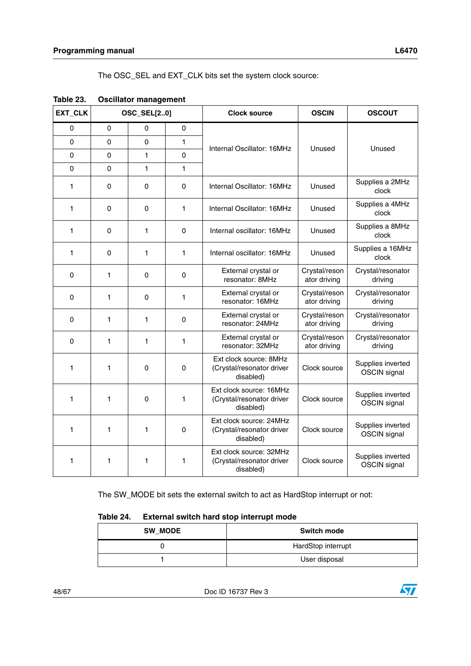The OSC\_SEL and EXT\_CLK bits set the system clock source:

| EXT_CLK |          | <b>OSC_SEL[20]</b> |             | <b>Clock source</b>                                               | <b>OSCIN</b>                  | <b>OSCOUT</b>                            |
|---------|----------|--------------------|-------------|-------------------------------------------------------------------|-------------------------------|------------------------------------------|
| 0       | 0        | 0                  | $\mathbf 0$ |                                                                   |                               |                                          |
| 0       | 0        | 0                  | 1           | Internal Oscillator: 16MHz                                        | Unused                        | Unused                                   |
| 0       | $\Omega$ | 1                  | 0           |                                                                   |                               |                                          |
| 0       | $\Omega$ | 1                  | 1           |                                                                   |                               |                                          |
| 1       | 0        | 0                  | $\Omega$    | Internal Oscillator: 16MHz                                        | Unused                        | Supplies a 2MHz<br>clock                 |
| 1       | $\Omega$ | 0                  | 1           | Internal Oscillator: 16MHz                                        | Unused                        | Supplies a 4MHz<br>clock                 |
| 1       | 0        | $\mathbf{1}$       | $\Omega$    | Internal oscillator: 16MHz                                        | Unused                        | Supplies a 8MHz<br>clock                 |
| 1.      | 0        | 1                  | 1           | Internal oscillator: 16MHz                                        | Unused                        | Supplies a 16MHz<br>clock                |
| 0       | 1        | 0                  | $\mathbf 0$ | External crystal or<br>resonator: 8MHz                            | Crystal/reson<br>ator driving | Crystal/resonator<br>driving             |
| 0       | 1        | 0                  | 1           | External crystal or<br>resonator: 16MHz                           | Crystal/reson<br>ator driving | Crystal/resonator<br>driving             |
| 0       | 1        | 1                  | $\Omega$    | External crystal or<br>resonator: 24MHz                           | Crystal/reson<br>ator driving | Crystal/resonator<br>driving             |
| 0       | 1        | 1                  | 1           | External crystal or<br>resonator: 32MHz                           | Crystal/reson<br>ator driving | Crystal/resonator<br>driving             |
| 1       | 1        | 0                  | 0           | Ext clock source: 8MHz<br>(Crystal/resonator driver<br>disabled)  | Clock source                  | Supplies inverted<br>OSCIN signal        |
| 1       | 1        | 0                  | 1           | Ext clock source: 16MHz<br>(Crystal/resonator driver<br>disabled) | Clock source                  | Supplies inverted<br>OSCIN signal        |
| 1       | 1        | $\mathbf{1}$       | 0           | Ext clock source: 24MHz<br>(Crystal/resonator driver<br>disabled) | Clock source                  | Supplies inverted<br>OSCIN signal        |
| 1       | 1        | 1                  | 1           | Ext clock source: 32MHz<br>(Crystal/resonator driver<br>disabled) | Clock source                  | Supplies inverted<br><b>OSCIN</b> signal |

<span id="page-47-0"></span>

| Table 23. | <b>Oscillator management</b> |  |
|-----------|------------------------------|--|
|-----------|------------------------------|--|

The SW\_MODE bit sets the external switch to act as HardStop interrupt or not:

<span id="page-47-1"></span>

|  | Table 24. | External switch hard stop interrupt mode |  |  |
|--|-----------|------------------------------------------|--|--|
|--|-----------|------------------------------------------|--|--|

| <b>SW MODE</b> | <b>Switch mode</b> |
|----------------|--------------------|
|                | HardStop interrupt |
|                | User disposal      |

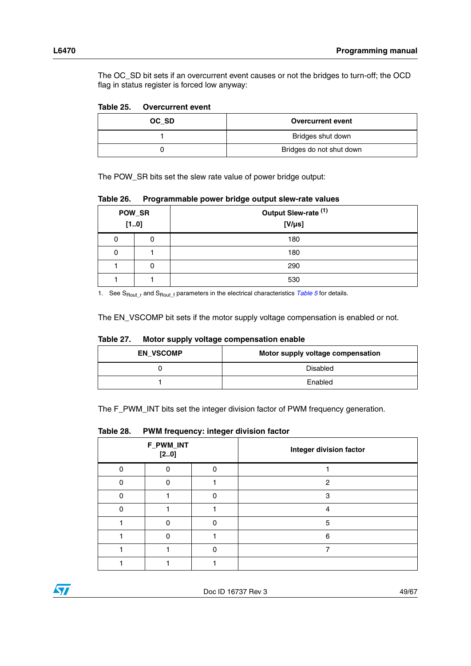The OC\_SD bit sets if an overcurrent event causes or not the bridges to turn-off; the OCD flag in status register is forced low anyway:

#### <span id="page-48-0"></span>**Table 25. Overcurrent event**

| OC SD | <b>Overcurrent event</b> |
|-------|--------------------------|
|       | Bridges shut down        |
|       | Bridges do not shut down |

The POW\_SR bits set the slew rate value of power bridge output:

<span id="page-48-1"></span>**Table 26. Programmable power bridge output slew-rate values**

| POW_SR<br>[10] |   | Output Slew-rate (1)<br>$[V/\mu s]$ |
|----------------|---|-------------------------------------|
|                | 0 | 180                                 |
| 0              |   | 180                                 |
|                | 0 | 290                                 |
|                |   | 530                                 |

1. See S<sub>Routr</sub> and S<sub>Rout f</sub> parameters in the electrical characteristics *[Table 5](#page-10-1)* for details.

The EN\_VSCOMP bit sets if the motor supply voltage compensation is enabled or not.

| <b>EN VSCOMP</b> | Motor supply voltage compensation |
|------------------|-----------------------------------|
|                  | Disabled                          |
|                  | Enabled                           |

#### <span id="page-48-2"></span>**Table 27. Motor supply voltage compensation enable**

The F\_PWM\_INT bits set the integer division factor of PWM frequency generation.

#### <span id="page-48-3"></span>**Table 28. PWM frequency: integer division factor**

| F_PWM_INT<br>[20] |  |  | Integer division factor |
|-------------------|--|--|-------------------------|
|                   |  |  |                         |
|                   |  |  | 2                       |
|                   |  |  | з                       |
|                   |  |  |                         |
|                   |  |  | 5                       |
|                   |  |  | 6                       |
|                   |  |  |                         |
|                   |  |  |                         |

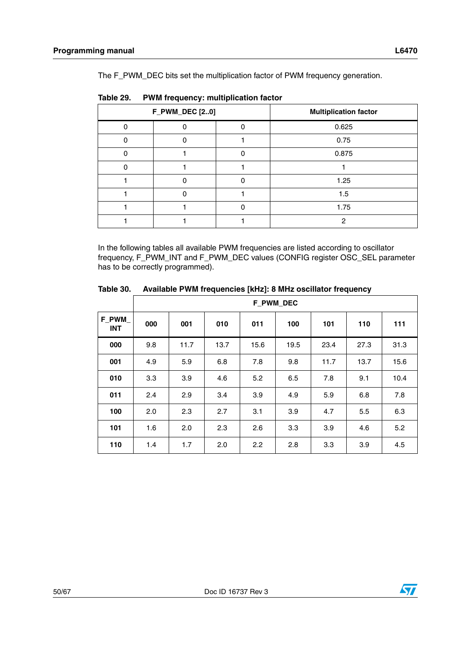The F\_PWM\_DEC bits set the multiplication factor of PWM frequency generation.

| <b>F_PWM_DEC [20]</b> |  |  | <b>Multiplication factor</b> |
|-----------------------|--|--|------------------------------|
| O                     |  |  | 0.625                        |
|                       |  |  | 0.75                         |
|                       |  |  | 0.875                        |
|                       |  |  |                              |
|                       |  |  | 1.25                         |
|                       |  |  | 1.5                          |
|                       |  |  | 1.75                         |
|                       |  |  |                              |

<span id="page-49-0"></span>**Table 29. PWM frequency: multiplication factor**

In the following tables all available PWM frequencies are listed according to oscillator frequency, F\_PWM\_INT and F\_PWM\_DEC values (CONFIG register OSC\_SEL parameter has to be correctly programmed).

<span id="page-49-1"></span>

| Table 30. | Available PWM frequencies [kHz]: 8 MHz oscillator frequency |
|-----------|-------------------------------------------------------------|
|           |                                                             |

|                     |     | F_PWM_DEC |      |      |      |      |      |      |
|---------------------|-----|-----------|------|------|------|------|------|------|
| F_PWM<br><b>INT</b> | 000 | 001       | 010  | 011  | 100  | 101  | 110  | 111  |
| 000                 | 9.8 | 11.7      | 13.7 | 15.6 | 19.5 | 23.4 | 27.3 | 31.3 |
| 001                 | 4.9 | 5.9       | 6.8  | 7.8  | 9.8  | 11.7 | 13.7 | 15.6 |
| 010                 | 3.3 | 3.9       | 4.6  | 5.2  | 6.5  | 7.8  | 9.1  | 10.4 |
| 011                 | 2.4 | 2.9       | 3.4  | 3.9  | 4.9  | 5.9  | 6.8  | 7.8  |
| 100                 | 2.0 | 2.3       | 2.7  | 3.1  | 3.9  | 4.7  | 5.5  | 6.3  |
| 101                 | 1.6 | 2.0       | 2.3  | 2.6  | 3.3  | 3.9  | 4.6  | 5.2  |
| 110                 | 1.4 | 1.7       | 2.0  | 2.2  | 2.8  | 3.3  | 3.9  | 4.5  |

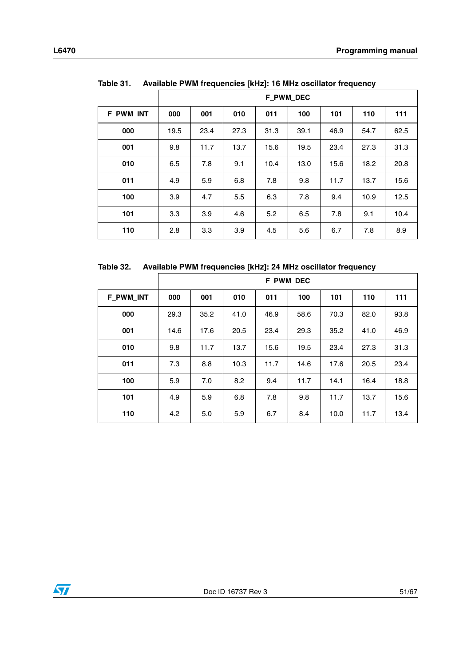<span id="page-50-0"></span>

| Available PWM frequencies [kHz]: 16 MHz oscillator frequency<br>Table 31. |      |                  |      |      |      |      |      |      |
|---------------------------------------------------------------------------|------|------------------|------|------|------|------|------|------|
|                                                                           |      | <b>F PWM DEC</b> |      |      |      |      |      |      |
| <b>F PWM INT</b>                                                          | 000  | 001              | 010  | 011  | 100  | 101  | 110  | 111  |
| 000                                                                       | 19.5 | 23.4             | 27.3 | 31.3 | 39.1 | 46.9 | 54.7 | 62.5 |
| 001                                                                       | 9.8  | 11.7             | 13.7 | 15.6 | 19.5 | 23.4 | 27.3 | 31.3 |
| 010                                                                       | 6.5  | 7.8              | 9.1  | 10.4 | 13.0 | 15.6 | 18.2 | 20.8 |
| 011                                                                       | 4.9  | 5.9              | 6.8  | 7.8  | 9.8  | 11.7 | 13.7 | 15.6 |
| 100                                                                       | 3.9  | 4.7              | 5.5  | 6.3  | 7.8  | 9.4  | 10.9 | 12.5 |
|                                                                           |      |                  |      |      |      |      |      |      |

<span id="page-50-1"></span>**Table 32. Available PWM frequencies [kHz]: 24 MHz oscillator frequency**

|                  | <b>F_PWM_DEC</b> |      |      |      |      |      |      |      |
|------------------|------------------|------|------|------|------|------|------|------|
| <b>F_PWM_INT</b> | 000              | 001  | 010  | 011  | 100  | 101  | 110  | 111  |
| 000              | 29.3             | 35.2 | 41.0 | 46.9 | 58.6 | 70.3 | 82.0 | 93.8 |
| 001              | 14.6             | 17.6 | 20.5 | 23.4 | 29.3 | 35.2 | 41.0 | 46.9 |
| 010              | 9.8              | 11.7 | 13.7 | 15.6 | 19.5 | 23.4 | 27.3 | 31.3 |
| 011              | 7.3              | 8.8  | 10.3 | 11.7 | 14.6 | 17.6 | 20.5 | 23.4 |
| 100              | 5.9              | 7.0  | 8.2  | 9.4  | 11.7 | 14.1 | 16.4 | 18.8 |
| 101              | 4.9              | 5.9  | 6.8  | 7.8  | 9.8  | 11.7 | 13.7 | 15.6 |
| 110              | 4.2              | 5.0  | 5.9  | 6.7  | 8.4  | 10.0 | 11.7 | 13.4 |

| 3.3 | 3.9 | 4.6 | 5.2 | 6.5 | 7.8 | 9.1 | 10.4

| 2.8 | 3.3 | 3.9 | 4.5 | 5.6 | 6.7 | 7.8 | 8.9

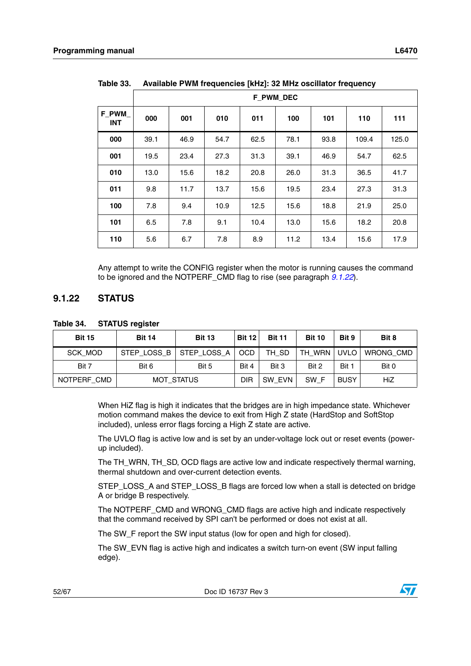|                     | <b>F_PWM_DEC</b> |      |      |      |      |      |       |       |
|---------------------|------------------|------|------|------|------|------|-------|-------|
| F_PWM<br><b>INT</b> | 000              | 001  | 010  | 011  | 100  | 101  | 110   | 111   |
| 000                 | 39.1             | 46.9 | 54.7 | 62.5 | 78.1 | 93.8 | 109.4 | 125.0 |
| 001                 | 19.5             | 23.4 | 27.3 | 31.3 | 39.1 | 46.9 | 54.7  | 62.5  |
| 010                 | 13.0             | 15.6 | 18.2 | 20.8 | 26.0 | 31.3 | 36.5  | 41.7  |
| 011                 | 9.8              | 11.7 | 13.7 | 15.6 | 19.5 | 23.4 | 27.3  | 31.3  |
| 100                 | 7.8              | 9.4  | 10.9 | 12.5 | 15.6 | 18.8 | 21.9  | 25.0  |
| 101                 | 6.5              | 7.8  | 9.1  | 10.4 | 13.0 | 15.6 | 18.2  | 20.8  |
| 110                 | 5.6              | 6.7  | 7.8  | 8.9  | 11.2 | 13.4 | 15.6  | 17.9  |

<span id="page-51-1"></span>**Table 33. Available PWM frequencies [kHz]: 32 MHz oscillator frequency**

Any attempt to write the CONFIG register when the motor is running causes the command to be ignored and the NOTPERF\_CMD flag to rise (see paragraph *[9.1.22](#page-51-0)*).

#### <span id="page-51-0"></span>**9.1.22 STATUS**

<span id="page-51-2"></span>**Table 34. STATUS register**

| <b>Bit 15</b>  | <b>Bit 14</b>     | <b>Bit 13</b> | <b>Bit 12</b> | <b>Bit 11</b> | <b>Bit 10</b> | Bit 9       | Bit 8            |
|----------------|-------------------|---------------|---------------|---------------|---------------|-------------|------------------|
| <b>SCK MOD</b> | STEP_LOSS_B       | STEP_LOSS_A   | OCD           | TH SD         | TH WRN        | UVLO I      | <b>WRONG CMD</b> |
| Bit 7          | Bit 6             | Bit 5         | Bit 4         | Bit 3         | Bit 2         | Bit 1       | Bit 0            |
| NOTPERF CMD    | <b>MOT STATUS</b> |               | <b>DIR</b>    | SW EVN        | SW F          | <b>BUSY</b> | HiZ              |

When HiZ flag is high it indicates that the bridges are in high impedance state. Whichever motion command makes the device to exit from High Z state (HardStop and SoftStop included), unless error flags forcing a High Z state are active.

The UVLO flag is active low and is set by an under-voltage lock out or reset events (powerup included).

The TH\_WRN, TH\_SD, OCD flags are active low and indicate respectively thermal warning, thermal shutdown and over-current detection events.

STEP\_LOSS\_A and STEP\_LOSS\_B flags are forced low when a stall is detected on bridge A or bridge B respectively.

The NOTPERF CMD and WRONG CMD flags are active high and indicate respectively that the command received by SPI can't be performed or does not exist at all.

The SW\_F report the SW input status (low for open and high for closed).

The SW\_EVN flag is active high and indicates a switch turn-on event (SW input falling edge).

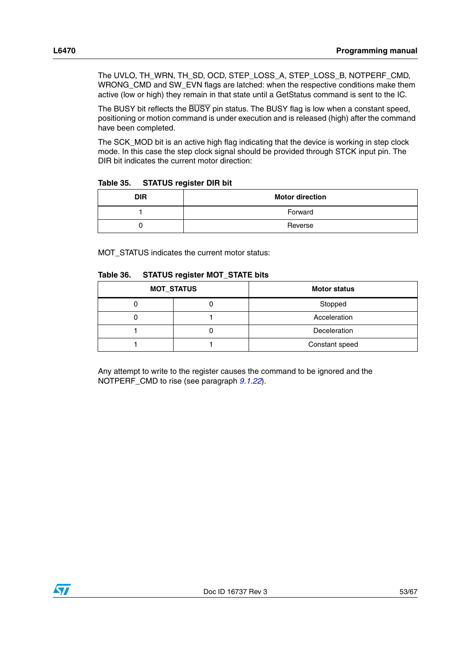The UVLO, TH\_WRN, TH\_SD, OCD, STEP\_LOSS\_A, STEP\_LOSS\_B, NOTPERF\_CMD, WRONG\_CMD and SW\_EVN flags are latched: when the respective conditions make them active (low or high) they remain in that state until a GetStatus command is sent to the IC.

The BUSY bit reflects the BUSY pin status. The BUSY flag is low when a constant speed, positioning or motion command is under execution and is released (high) after the command have been completed.

The SCK\_MOD bit is an active high flag indicating that the device is working in step clock mode. In this case the step clock signal should be provided through STCK input pin. The DIR bit indicates the current motor direction:

<span id="page-52-0"></span>**Table 35. STATUS register DIR bit** 

| <b>DIR</b> | <b>Motor direction</b> |
|------------|------------------------|
|            | Forward                |
|            | Reverse                |

MOT\_STATUS indicates the current motor status:

<span id="page-52-1"></span>

| Table 36. | <b>STATUS register MOT_STATE bits</b> |  |
|-----------|---------------------------------------|--|
|           |                                       |  |

| <b>MOT_STATUS</b> | <b>Motor status</b> |  |  |  |
|-------------------|---------------------|--|--|--|
| u                 | Stopped             |  |  |  |
|                   | Acceleration        |  |  |  |
| u                 | Deceleration        |  |  |  |
|                   | Constant speed      |  |  |  |

Any attempt to write to the register causes the command to be ignored and the NOTPERF\_CMD to rise (see paragraph *[9.1.22](#page-51-0)*).

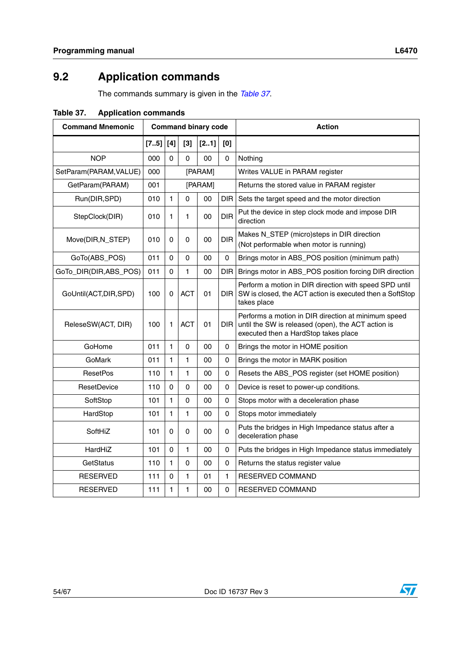# <span id="page-53-0"></span>**9.2 Application commands**

The commands summary is given in the *[Table 37](#page-53-1)*.

| <b>Command Mnemonic</b> |      |              |            | <b>Command binary code</b> |            | <b>Action</b>                                                                                                                                     |
|-------------------------|------|--------------|------------|----------------------------|------------|---------------------------------------------------------------------------------------------------------------------------------------------------|
|                         | [75] | $[4]$        | $[3]$      | [21]                       | [0]        |                                                                                                                                                   |
| <b>NOP</b>              | 000  | $\mathbf 0$  | 0          | 00                         | 0          | Nothing                                                                                                                                           |
| SetParam(PARAM, VALUE)  | 000  |              |            | [PARAM]                    |            | Writes VALUE in PARAM register                                                                                                                    |
| GetParam(PARAM)         | 001  |              |            | [PARAM]                    |            | Returns the stored value in PARAM register                                                                                                        |
| Run(DIR,SPD)            | 010  | 1            | 0          | 00                         | DIR.       | Sets the target speed and the motor direction                                                                                                     |
| StepClock(DIR)          | 010  | 1            | 1          | 00                         | <b>DIR</b> | Put the device in step clock mode and impose DIR<br>direction                                                                                     |
| Move(DIR, N_STEP)       | 010  | 0            | 0          | 00                         | <b>DIR</b> | Makes N_STEP (micro)steps in DIR direction<br>(Not performable when motor is running)                                                             |
| GoTo(ABS_POS)           | 011  | 0            | $\Omega$   | 00                         | 0          | Brings motor in ABS_POS position (minimum path)                                                                                                   |
| GoTo_DIR(DIR,ABS_POS)   | 011  | 0            | 1          | 00                         | DIR        | Brings motor in ABS_POS position forcing DIR direction                                                                                            |
| GoUntil(ACT, DIR, SPD)  | 100  | 0            | <b>ACT</b> | 01                         | DIR I      | Perform a motion in DIR direction with speed SPD until<br>SW is closed, the ACT action is executed then a SoftStop<br>takes place                 |
| ReleseSW(ACT, DIR)      | 100  | 1            | <b>ACT</b> | 01                         | DIR I      | Performs a motion in DIR direction at minimum speed<br>until the SW is released (open), the ACT action is<br>executed then a HardStop takes place |
| GoHome                  | 011  | 1            | 0          | 00                         | 0          | Brings the motor in HOME position                                                                                                                 |
| GoMark                  | 011  | 1            | 1          | 00                         | 0          | Brings the motor in MARK position                                                                                                                 |
| <b>ResetPos</b>         | 110  | 1            | 1          | 00                         | 0          | Resets the ABS_POS register (set HOME position)                                                                                                   |
| ResetDevice             | 110  | 0            | 0          | 00                         | 0          | Device is reset to power-up conditions.                                                                                                           |
| SoftStop                | 101  | $\mathbf{1}$ | 0          | 00                         | 0          | Stops motor with a deceleration phase                                                                                                             |
| HardStop                | 101  | 1            | 1          | 00                         | 0          | Stops motor immediately                                                                                                                           |
| SoftHiZ                 | 101  | 0            | 0          | 00                         | 0          | Puts the bridges in High Impedance status after a<br>deceleration phase                                                                           |
| HardHiZ                 | 101  | 0            | 1          | 00                         | 0          | Puts the bridges in High Impedance status immediately                                                                                             |
| GetStatus               | 110  | $\mathbf{1}$ | 0          | 00                         | 0          | Returns the status register value                                                                                                                 |
| RESERVED                | 111  | 0            | 1          | 01                         | 1          | RESERVED COMMAND                                                                                                                                  |
| <b>RESERVED</b>         | 111  | 1            | 1          | 00                         | 0          | RESERVED COMMAND                                                                                                                                  |

<span id="page-53-1"></span>**Table 37. Application commands**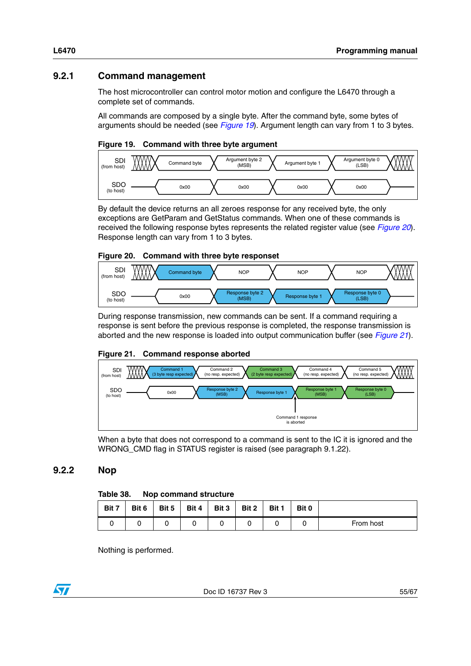### <span id="page-54-0"></span>**9.2.1 Command management**

The host microcontroller can control motor motion and configure the L6470 through a complete set of commands.

All commands are composed by a single byte. After the command byte, some bytes of arguments should be needed (see *[Figure 19](#page-54-3)*). Argument length can vary from 1 to 3 bytes.

#### <span id="page-54-3"></span>**Figure 19. Command with three byte argument**



By default the device returns an all zeroes response for any received byte, the only exceptions are GetParam and GetStatus commands. When one of these commands is received the following response bytes represents the related register value (see *[Figure 20](#page-54-4)*). Response length can vary from 1 to 3 bytes.

#### <span id="page-54-4"></span>**Figure 20. Command with three byte responset**



During response transmission, new commands can be sent. If a command requiring a response is sent before the previous response is completed, the response transmission is aborted and the new response is loaded into output communication buffer (see *[Figure 21](#page-54-5)*).

#### <span id="page-54-5"></span>**Figure 21. Command response aborted**



When a byte that does not correspond to a command is sent to the IC it is ignored and the WRONG\_CMD flag in STATUS register is raised (see paragraph 9.1.22).

#### <span id="page-54-1"></span>**9.2.2 Nop**

#### <span id="page-54-2"></span>**Table 38. Nop command structure**

| Bit 7 | Bit 6 | Bit 5 | Bit 4 | Bit 3 | Bit 2 | Bit 1 | Bit 0 |           |
|-------|-------|-------|-------|-------|-------|-------|-------|-----------|
|       |       |       |       |       |       |       |       | From host |

Nothing is performed.

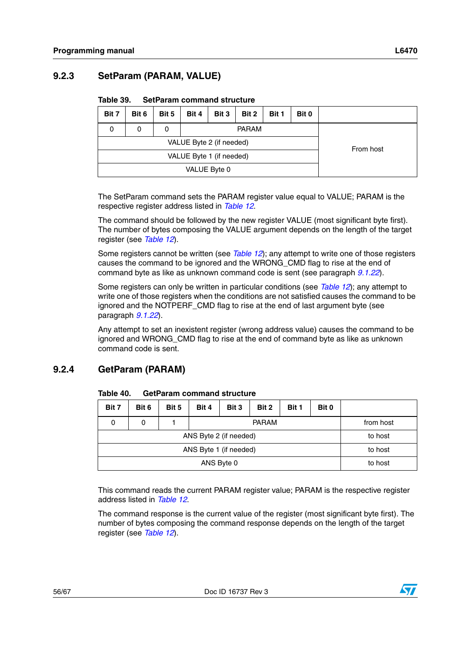### <span id="page-55-0"></span>**9.2.3 SetParam (PARAM, VALUE)**

<span id="page-55-2"></span>

| Table 39. |  | <b>SetParam command structure</b> |  |
|-----------|--|-----------------------------------|--|
|-----------|--|-----------------------------------|--|

| Bit 7                    | Bit 6 | Bit 5                    | Bit 4     | Bit 3 | Bit 2 |  |  |  |
|--------------------------|-------|--------------------------|-----------|-------|-------|--|--|--|
| 0                        | O     | 0                        |           |       |       |  |  |  |
|                          |       | VALUE Byte 2 (if needed) | From host |       |       |  |  |  |
| VALUE Byte 1 (if needed) |       |                          |           |       |       |  |  |  |
|                          |       |                          |           |       |       |  |  |  |

The SetParam command sets the PARAM register value equal to VALUE; PARAM is the respective register address listed in *[Table 12](#page-42-3)*.

The command should be followed by the new register VALUE (most significant byte first). The number of bytes composing the VALUE argument depends on the length of the target register (see *[Table 12](#page-42-3)*).

Some registers cannot be written (see *[Table 12](#page-42-3)*); any attempt to write one of those registers causes the command to be ignored and the WRONG\_CMD flag to rise at the end of command byte as like as unknown command code is sent (see paragraph *[9.1.22](#page-51-0)*).

Some registers can only be written in particular conditions (see *[Table 12](#page-42-3)*); any attempt to write one of those registers when the conditions are not satisfied causes the command to be ignored and the NOTPERF\_CMD flag to rise at the end of last argument byte (see paragraph *[9.1.22](#page-51-0)*).

Any attempt to set an inexistent register (wrong address value) causes the command to be ignored and WRONG\_CMD flag to rise at the end of command byte as like as unknown command code is sent.

### <span id="page-55-1"></span>**9.2.4 GetParam (PARAM)**

| Bit 7 | Bit 6   | Bit 5 | Bit 4 | Bit 3 |  |           |  |  |  |  |  |
|-------|---------|-------|-------|-------|--|-----------|--|--|--|--|--|
| 0     | 0       |       |       |       |  | from host |  |  |  |  |  |
|       | to host |       |       |       |  |           |  |  |  |  |  |
|       | to host |       |       |       |  |           |  |  |  |  |  |
|       | to host |       |       |       |  |           |  |  |  |  |  |

#### <span id="page-55-3"></span>**Table 40. GetParam command structure**

This command reads the current PARAM register value; PARAM is the respective register address listed in *[Table 12](#page-42-3)*.

The command response is the current value of the register (most significant byte first). The number of bytes composing the command response depends on the length of the target register (see *[Table 12](#page-42-3)*).

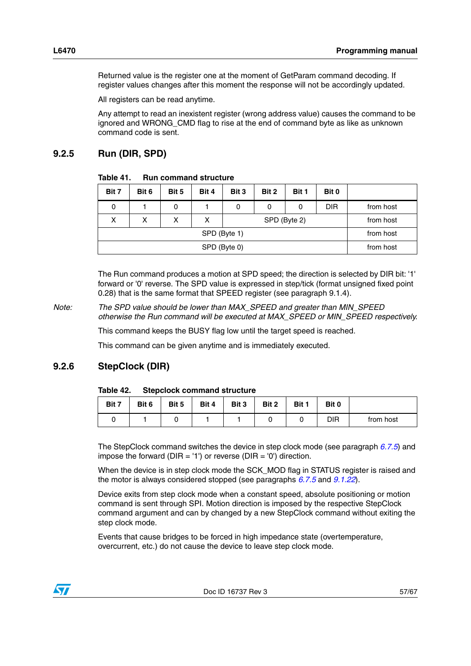Returned value is the register one at the moment of GetParam command decoding. If register values changes after this moment the response will not be accordingly updated.

All registers can be read anytime.

Any attempt to read an inexistent register (wrong address value) causes the command to be ignored and WRONG\_CMD flag to rise at the end of command byte as like as unknown command code is sent.

#### <span id="page-56-0"></span>**9.2.5 Run (DIR, SPD)**

<span id="page-56-2"></span>

| <b>Run command structure</b> | Table 41. |  |  |  |
|------------------------------|-----------|--|--|--|
|------------------------------|-----------|--|--|--|

| Bit 7 | Bit 6     | Bit 5 | Bit 4 | Bit 3 | Bit 2        | Bit 1     | Bit 0      |           |
|-------|-----------|-------|-------|-------|--------------|-----------|------------|-----------|
| 0     |           | 0     |       | 0     | 0            | 0         | <b>DIR</b> | from host |
| X     | х         | x     | x     |       | SPD (Byte 2) | from host |            |           |
|       | from host |       |       |       |              |           |            |           |
|       | from host |       |       |       |              |           |            |           |

The Run command produces a motion at SPD speed; the direction is selected by DIR bit: '1' forward or '0' reverse. The SPD value is expressed in step/tick (format unsigned fixed point 0.28) that is the same format that SPEED register (see paragraph 9.1.4).

*Note: The SPD value should be lower than MAX\_SPEED and greater than MIN\_SPEED otherwise the Run command will be executed at MAX\_SPEED or MIN\_SPEED respectively.*

This command keeps the BUSY flag low until the target speed is reached.

This command can be given anytime and is immediately executed.

#### <span id="page-56-1"></span>**9.2.6 StepClock (DIR)**

<span id="page-56-3"></span>

| Table 42. | <b>Stepclock command structure</b> |
|-----------|------------------------------------|
|-----------|------------------------------------|

| Bit 7 | Bit 6 | Bit 5 | Bit 4 | Bit 3 | Bit 2 | Bit 1 | Bit 0 |           |
|-------|-------|-------|-------|-------|-------|-------|-------|-----------|
|       |       |       |       |       |       |       | DIR   | from host |

The StepClock command switches the device in step clock mode (see paragraph *[6.7.5](#page-24-0)*) and impose the forward ( $DIR = '1'$ ) or reverse ( $DIR = '0'$ ) direction.

When the device is in step clock mode the SCK MOD flag in STATUS register is raised and the motor is always considered stopped (see paragraphs *[6.7.5](#page-24-0)* and *[9.1.22](#page-51-0)*).

Device exits from step clock mode when a constant speed, absolute positioning or motion command is sent through SPI. Motion direction is imposed by the respective StepClock command argument and can by changed by a new StepClock command without exiting the step clock mode.

Events that cause bridges to be forced in high impedance state (overtemperature, overcurrent, etc.) do not cause the device to leave step clock mode.

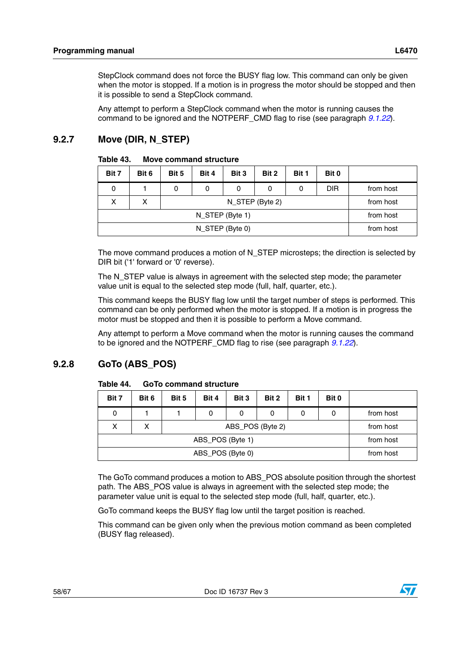StepClock command does not force the BUSY flag low. This command can only be given when the motor is stopped. If a motion is in progress the motor should be stopped and then it is possible to send a StepClock command.

Any attempt to perform a StepClock command when the motor is running causes the command to be ignored and the NOTPERF\_CMD flag to rise (see paragraph *[9.1.22](#page-51-0)*).

### <span id="page-57-0"></span>**9.2.7 Move (DIR, N\_STEP)**

| Bit 7 | Bit 6           | Bit 5 | Bit 4 |           |  |  |  |  |  |  |
|-------|-----------------|-------|-------|-----------|--|--|--|--|--|--|
| 0     |                 | 0     | 0     | from host |  |  |  |  |  |  |
| x     | from host       |       |       |           |  |  |  |  |  |  |
|       | N_STEP (Byte 1) |       |       |           |  |  |  |  |  |  |
|       | N_STEP (Byte 0) |       |       |           |  |  |  |  |  |  |

<span id="page-57-2"></span>Table 43. **Move command structure** 

The move command produces a motion of N\_STEP microsteps; the direction is selected by DIR bit ('1' forward or '0' reverse).

The N\_STEP value is always in agreement with the selected step mode; the parameter value unit is equal to the selected step mode (full, half, quarter, etc.).

This command keeps the BUSY flag low until the target number of steps is performed. This command can be only performed when the motor is stopped. If a motion is in progress the motor must be stopped and then it is possible to perform a Move command.

Any attempt to perform a Move command when the motor is running causes the command to be ignored and the NOTPERF\_CMD flag to rise (see paragraph *[9.1.22](#page-51-0)*).

### <span id="page-57-1"></span>**9.2.8 GoTo (ABS\_POS)**

| Bit 7 | Bit 6     | Bit 5 | Bit 4            | Bit 3 | Bit 2 | Bit 1 | Bit 0 |           |  |  |
|-------|-----------|-------|------------------|-------|-------|-------|-------|-----------|--|--|
| 0     |           |       | 0                | 0     | 0     |       | 0     | from host |  |  |
| x     | х         |       | ABS_POS (Byte 2) |       |       |       |       |           |  |  |
|       | from host |       |                  |       |       |       |       |           |  |  |
|       | from host |       |                  |       |       |       |       |           |  |  |

#### <span id="page-57-3"></span>Table 44. **GoTo command structure**

The GoTo command produces a motion to ABS\_POS absolute position through the shortest path. The ABS\_POS value is always in agreement with the selected step mode; the parameter value unit is equal to the selected step mode (full, half, quarter, etc.).

GoTo command keeps the BUSY flag low until the target position is reached.

This command can be given only when the previous motion command as been completed (BUSY flag released).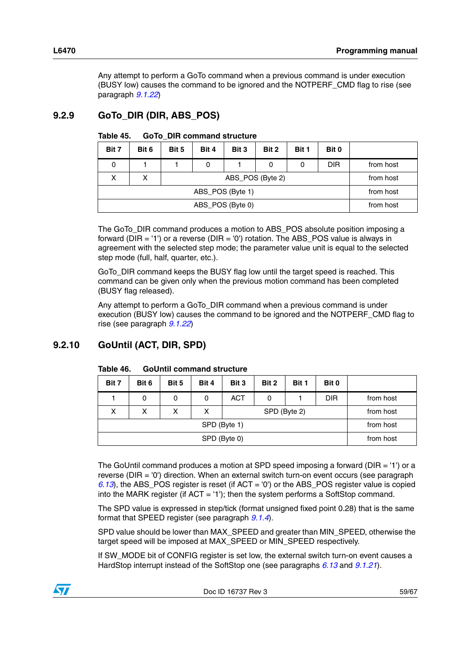Any attempt to perform a GoTo command when a previous command is under execution (BUSY low) causes the command to be ignored and the NOTPERF\_CMD flag to rise (see paragraph *[9.1.22](#page-51-0)*)

### <span id="page-58-0"></span>**9.2.9 GoTo\_DIR (DIR, ABS\_POS)**

| Bit 7 | Bit 6     | Bit 5 | Bit 4 | Bit 3     | Bit 2     | Bit 1 | Bit 0 |  |
|-------|-----------|-------|-------|-----------|-----------|-------|-------|--|
| 0     |           |       | 0     | from host |           |       |       |  |
| x     | x         |       |       |           | from host |       |       |  |
|       | from host |       |       |           |           |       |       |  |
|       | from host |       |       |           |           |       |       |  |

<span id="page-58-2"></span>Table 45. **Table 45. GoTo\_DIR command structure** 

The GoTo\_DIR command produces a motion to ABS\_POS absolute position imposing a forward ( $DIR = '1'$ ) or a reverse ( $DIR = '0'$ ) rotation. The ABS POS value is always in agreement with the selected step mode; the parameter value unit is equal to the selected step mode (full, half, quarter, etc.).

GoTo\_DIR command keeps the BUSY flag low until the target speed is reached. This command can be given only when the previous motion command has been completed (BUSY flag released).

Any attempt to perform a GoTo\_DIR command when a previous command is under execution (BUSY low) causes the command to be ignored and the NOTPERF\_CMD flag to rise (see paragraph *[9.1.22](#page-51-0)*)

### <span id="page-58-1"></span>**9.2.10 GoUntil (ACT, DIR, SPD)**

| Bit 7 | Bit 6        | Bit 5 | Bit 4 | Bit 3      | Bit 2        | Bit 1     | Bit 0      |           |  |  |
|-------|--------------|-------|-------|------------|--------------|-----------|------------|-----------|--|--|
|       | 0            | 0     | 0     | <b>ACT</b> | 0            |           | <b>DIR</b> | from host |  |  |
| x     | x            | x     | x     |            | SPD (Byte 2) | from host |            |           |  |  |
|       | SPD (Byte 1) |       |       |            |              |           |            |           |  |  |
|       | from host    |       |       |            |              |           |            |           |  |  |

<span id="page-58-3"></span>**Table 46. GoUntil command structure** 

The GoUntil command produces a motion at SPD speed imposing a forward (DIR = '1') or a reverse (DIR = '0') direction. When an external switch turn-on event occurs (see paragraph *[6.13](#page-28-0)*), the ABS\_POS register is reset (if ACT = '0') or the ABS\_POS register value is copied into the MARK register (if ACT = '1'); then the system performs a SoftStop command.

The SPD value is expressed in step/tick (format unsigned fixed point 0.28) that is the same format that SPEED register (see paragraph *[9.1.4](#page-39-1)*).

SPD value should be lower than MAX\_SPEED and greater than MIN\_SPEED, otherwise the target speed will be imposed at MAX\_SPEED or MIN\_SPEED respectively.

If SW\_MODE bit of CONFIG register is set low, the external switch turn-on event causes a HardStop interrupt instead of the SoftStop one (see paragraphs *[6.13](#page-28-0)* and *[9.1.21](#page-46-1)*).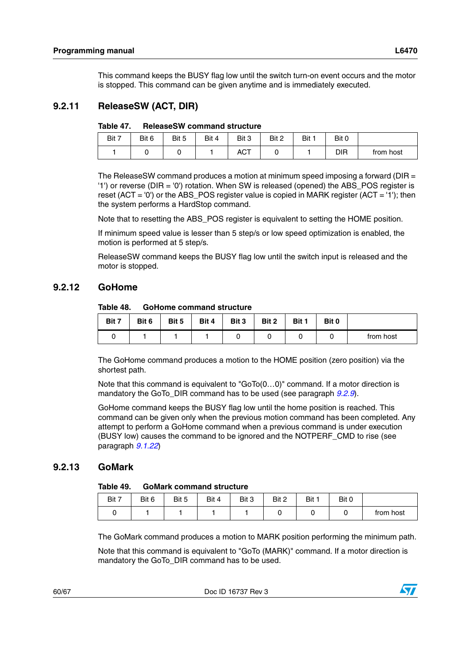This command keeps the BUSY flag low until the switch turn-on event occurs and the motor is stopped. This command can be given anytime and is immediately executed.

#### <span id="page-59-0"></span>**9.2.11 ReleaseSW (ACT, DIR)**

<span id="page-59-3"></span>

| Table 47. | <b>ReleaseSW command structure</b> |  |
|-----------|------------------------------------|--|
|           |                                    |  |

| Bit 7 | Bit 6 | Bit 5 | Bit 4 | Bit 3      | Bit 2 | Bit 1 | Bit 0 |           |
|-------|-------|-------|-------|------------|-------|-------|-------|-----------|
|       |       |       |       | <b>ACT</b> |       |       | DIR   | from host |

The ReleaseSW command produces a motion at minimum speed imposing a forward (DIR = '1') or reverse (DIR = '0') rotation. When SW is released (opened) the ABS\_POS register is reset (ACT =  $'0'$ ) or the ABS\_POS register value is copied in MARK register (ACT =  $'1'$ ); then the system performs a HardStop command.

Note that to resetting the ABS\_POS register is equivalent to setting the HOME position.

If minimum speed value is lesser than 5 step/s or low speed optimization is enabled, the motion is performed at 5 step/s.

ReleaseSW command keeps the BUSY flag low until the switch input is released and the motor is stopped.

#### <span id="page-59-1"></span>**9.2.12 GoHome**

#### <span id="page-59-4"></span>Table 48. **GoHome command structure**

| Bit 7 | Bit 6 | Bit 5 | Bit 4 | Bit 3 | Bit 2 | Bit 1 | Bit 0 |           |
|-------|-------|-------|-------|-------|-------|-------|-------|-----------|
|       |       |       |       |       |       |       |       | from host |

The GoHome command produces a motion to the HOME position (zero position) via the shortest path.

Note that this command is equivalent to "GoTo(0…0)" command. If a motor direction is mandatory the GoTo\_DIR command has to be used (see paragraph *[9.2.9](#page-58-0)*).

GoHome command keeps the BUSY flag low until the home position is reached. This command can be given only when the previous motion command has been completed. Any attempt to perform a GoHome command when a previous command is under execution (BUSY low) causes the command to be ignored and the NOTPERF\_CMD to rise (see paragraph *[9.1.22](#page-51-0)*)

#### <span id="page-59-2"></span>**9.2.13 GoMark**

#### <span id="page-59-5"></span>Table 49. **GoMark command structure**

| Bit 7 | Bit 6 | Bit 5 | Bit 4 | Bit 3 | Bit 2 | Bit 1 | Bit 0 |           |
|-------|-------|-------|-------|-------|-------|-------|-------|-----------|
|       |       |       |       |       |       |       |       | from host |

The GoMark command produces a motion to MARK position performing the minimum path.

Note that this command is equivalent to "GoTo (MARK)" command. If a motor direction is mandatory the GoTo\_DIR command has to be used.

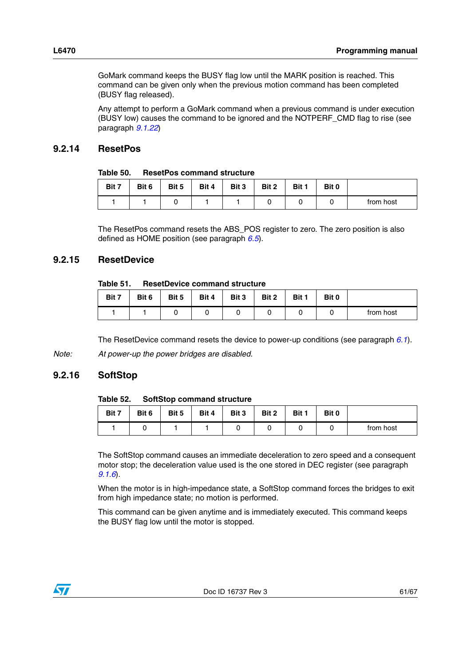GoMark command keeps the BUSY flag low until the MARK position is reached. This command can be given only when the previous motion command has been completed (BUSY flag released).

Any attempt to perform a GoMark command when a previous command is under execution (BUSY low) causes the command to be ignored and the NOTPERF\_CMD flag to rise (see paragraph *[9.1.22](#page-51-0)*)

#### <span id="page-60-0"></span>**9.2.14 ResetPos**

<span id="page-60-3"></span>

| <b>ResetPos command structure</b><br>Table 50. |
|------------------------------------------------|
|------------------------------------------------|

| Bit 7 | Bit 6 | Bit 5 | Bit 4 | Bit 3 | Bit 2 | Bit 1 | Bit 0 |           |
|-------|-------|-------|-------|-------|-------|-------|-------|-----------|
|       |       |       |       |       |       |       |       | from host |

The ResetPos command resets the ABS\_POS register to zero. The zero position is also defined as HOME position (see paragraph *[6.5](#page-20-1)*).

#### <span id="page-60-1"></span>**9.2.15 ResetDevice**

#### <span id="page-60-4"></span>**Table 51. ResetDevice command structure**

| Bit 7 | Bit 6 | Bit 5 | Bit 4 | Bit 3 | Bit 2 | Bit 1 | Bit 0 |           |
|-------|-------|-------|-------|-------|-------|-------|-------|-----------|
|       |       |       |       |       |       |       |       | from host |

The ResetDevice command resets the device to power-up conditions (see paragraph *[6.1](#page-18-1)*).

*Note: At power-up the power bridges are disabled.*

#### <span id="page-60-2"></span>**9.2.16 SoftStop**

#### <span id="page-60-5"></span>**Table 52. SoftStop command structure**

| Bit 7 | Bit 6 | Bit 5 | Bit 4 | Bit 3 | Bit 2 | Bit 1 | Bit 0 |           |
|-------|-------|-------|-------|-------|-------|-------|-------|-----------|
|       |       |       |       |       |       |       |       | from host |

The SoftStop command causes an immediate deceleration to zero speed and a consequent motor stop; the deceleration value used is the one stored in DEC register (see paragraph *[9.1.6](#page-40-0)*).

When the motor is in high-impedance state, a SoftStop command forces the bridges to exit from high impedance state; no motion is performed.

This command can be given anytime and is immediately executed. This command keeps the BUSY flag low until the motor is stopped.

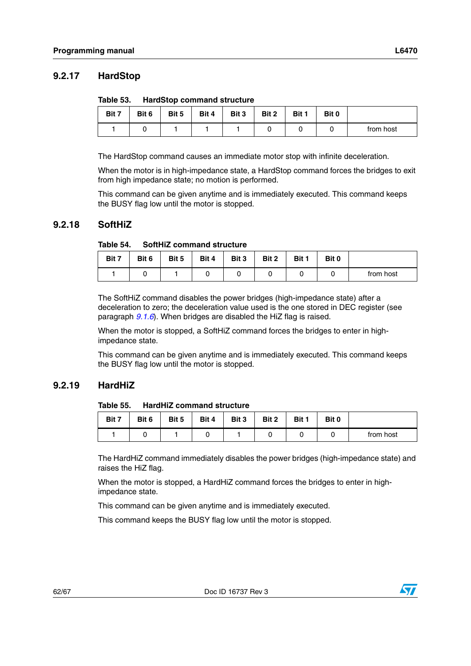#### <span id="page-61-0"></span>**9.2.17 HardStop**

<span id="page-61-3"></span>

| Table 53. |  | <b>HardStop command structure</b> |  |
|-----------|--|-----------------------------------|--|
|-----------|--|-----------------------------------|--|

| Bit 7 | Bit 6 | Bit 5 | Bit 4 | Bit 3 | Bit 2 | Bit 1 | Bit 0 |           |
|-------|-------|-------|-------|-------|-------|-------|-------|-----------|
|       |       |       |       |       |       |       |       | from host |

The HardStop command causes an immediate motor stop with infinite deceleration.

When the motor is in high-impedance state, a HardStop command forces the bridges to exit from high impedance state; no motion is performed.

This command can be given anytime and is immediately executed. This command keeps the BUSY flag low until the motor is stopped.

#### <span id="page-61-1"></span>**9.2.18 SoftHiZ**

<span id="page-61-4"></span>Table 54. **SoftHiZ command structure** 

| Bit 7 | Bit 6 | Bit 5 | Bit 4 | Bit 3 | Bit 2 | Bit 1 | Bit 0 |           |
|-------|-------|-------|-------|-------|-------|-------|-------|-----------|
|       |       |       |       |       |       |       |       | from host |

The SoftHiZ command disables the power bridges (high-impedance state) after a deceleration to zero; the deceleration value used is the one stored in DEC register (see paragraph *[9.1.6](#page-40-0)*). When bridges are disabled the HiZ flag is raised.

When the motor is stopped, a SoftHiZ command forces the bridges to enter in highimpedance state.

This command can be given anytime and is immediately executed. This command keeps the BUSY flag low until the motor is stopped.

#### <span id="page-61-2"></span>**9.2.19 HardHiZ**

<span id="page-61-5"></span>Table 55 **HardHiZ command structure** 

| Bit 7 | Bit 6 | Bit 5 | Bit 4 | Bit 3 | Bit 2 | Bit 1 | Bit 0 |           |
|-------|-------|-------|-------|-------|-------|-------|-------|-----------|
|       |       |       |       |       |       |       |       | from host |

The HardHiZ command immediately disables the power bridges (high-impedance state) and raises the HiZ flag.

When the motor is stopped, a HardHiZ command forces the bridges to enter in highimpedance state.

This command can be given anytime and is immediately executed.

This command keeps the BUSY flag low until the motor is stopped.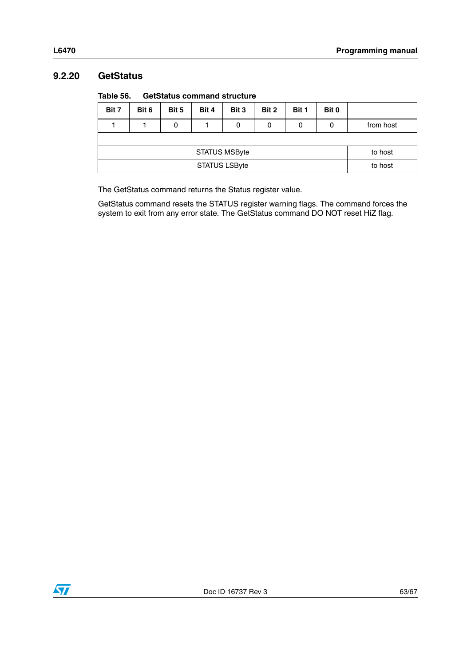### <span id="page-62-0"></span>**9.2.20 GetStatus**

<span id="page-62-1"></span>

| Table 56. | <b>GetStatus command structure</b> |
|-----------|------------------------------------|
|-----------|------------------------------------|

| Bit 7                | Bit 6 | Bit 5 | Bit 4 | Bit 3 | Bit 2 | Bit 1 | Bit 0 |           |
|----------------------|-------|-------|-------|-------|-------|-------|-------|-----------|
|                      |       | 0     |       | 0     | 0     | 0     | 0     | from host |
|                      |       |       |       |       |       |       |       |           |
| <b>STATUS MSByte</b> |       |       |       |       |       |       |       | to host   |
| <b>STATUS LSByte</b> |       |       |       |       |       |       |       | to host   |

The GetStatus command returns the Status register value.

GetStatus command resets the STATUS register warning flags. The command forces the system to exit from any error state. The GetStatus command DO NOT reset HiZ flag.

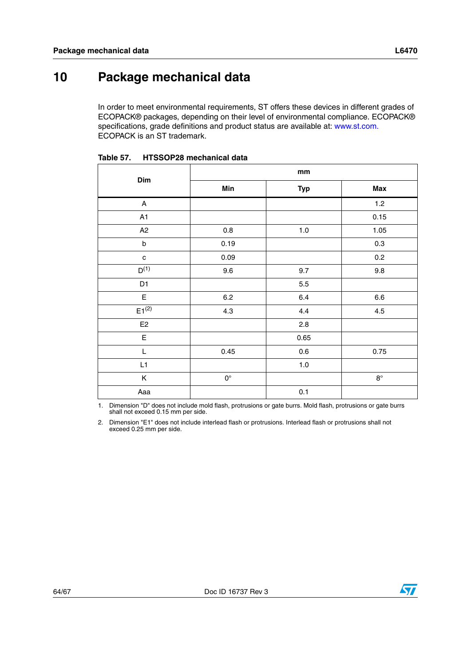# <span id="page-63-0"></span>**10 Package mechanical data**

In order to meet environmental requirements, ST offers these devices in different grades of ECOPACK® packages, depending on their level of environmental compliance. ECOPACK® specifications, grade definitions and product status are available at: www.st.com. ECOPACK is an ST trademark.

| Dim                       |                    | mm         |             |
|---------------------------|--------------------|------------|-------------|
|                           | Min                | <b>Typ</b> | Max         |
| $\boldsymbol{\mathsf{A}}$ |                    |            | 1.2         |
| A1                        |                    |            | 0.15        |
| A2                        | 0.8                | 1.0        | 1.05        |
| $\sf b$                   | 0.19               |            | 0.3         |
| $\mathbf{c}$              | 0.09               |            | 0.2         |
| $D^{(1)}$                 | 9.6                | 9.7        | 9.8         |
| D <sub>1</sub>            |                    | 5.5        |             |
| $\mathsf E$               | $6.2\,$            | 6.4        | $6.6\,$     |
| $E1^{(2)}$                | 4.3                | 4.4        | 4.5         |
| E2                        |                    | 2.8        |             |
| E                         |                    | 0.65       |             |
| L                         | 0.45               | 0.6        | 0.75        |
| L1                        |                    | $1.0\,$    |             |
| Κ                         | $\mathsf{O}^\circ$ |            | $8^{\circ}$ |
| Aaa                       |                    | 0.1        |             |

<span id="page-63-1"></span>**Table 57. HTSSOP28 mechanical data**

1. Dimension "D" does not include mold flash, protrusions or gate burrs. Mold flash, protrusions or gate burrs shall not exceed 0.15 mm per side.

2. Dimension "E1" does not include interlead flash or protrusions. Interlead flash or protrusions shall not exceed 0.25 mm per side.



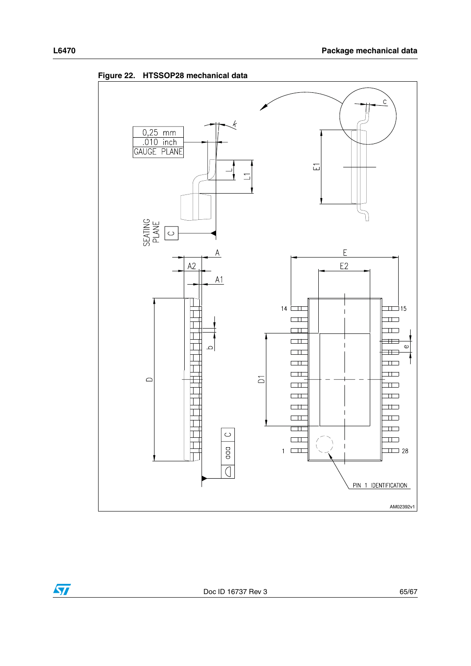

<span id="page-64-0"></span>**Figure 22. HTSSOP28 mechanical data** 

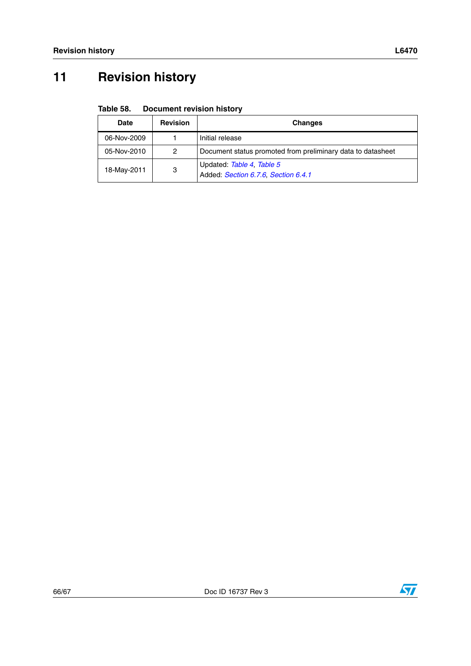# <span id="page-65-0"></span>**11 Revision history**

<span id="page-65-1"></span>

| Table 58. | <b>Document revision history</b> |  |
|-----------|----------------------------------|--|
|           |                                  |  |

| <b>Date</b> | <b>Revision</b> | <b>Changes</b>                                                   |
|-------------|-----------------|------------------------------------------------------------------|
| 06-Nov-2009 |                 | Initial release                                                  |
| 05-Nov-2010 | 2               | Document status promoted from preliminary data to datasheet      |
| 18-May-2011 | 3               | Updated: Table 4, Table 5<br>Added: Section 6.7.6, Section 6.4.1 |